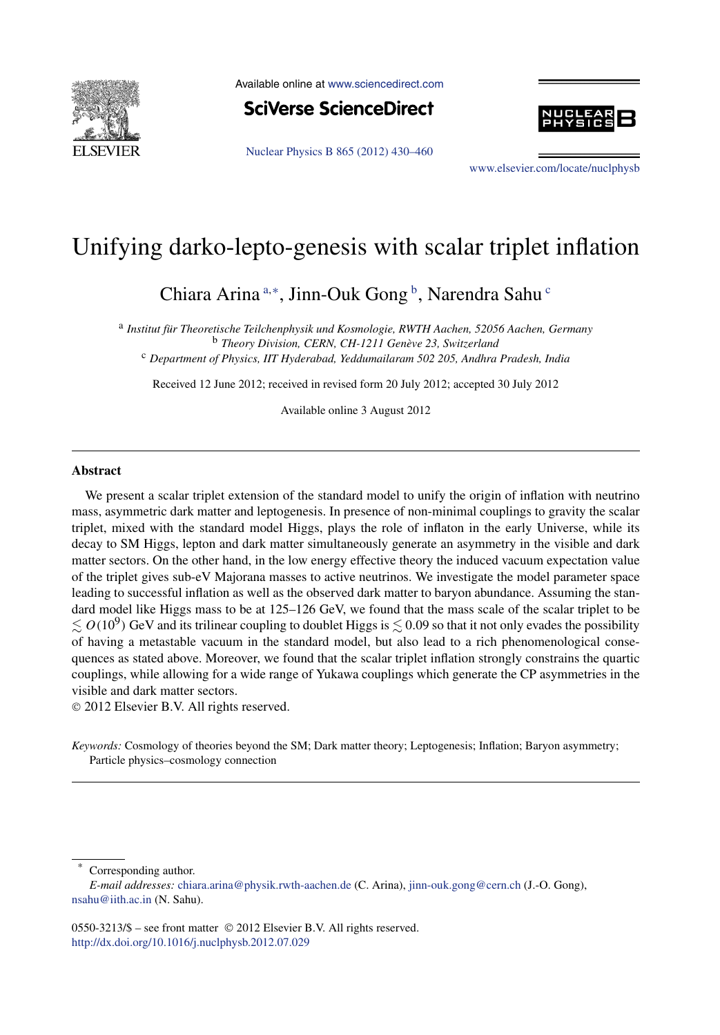

Available online at [www.sciencedirect.com](http://www.sciencedirect.com)

**SciVerse ScienceDirect** 





[www.elsevier.com/locate/nuclphysb](http://www.elsevier.com/locate/nuclphysb)

# Unifying darko-lepto-genesis with scalar triplet inflation

Chiara Arina <sup>a,∗</sup>, Jinn-Ouk Gong <sup>b</sup>, Narendra Sahu <sup>c</sup>

<sup>a</sup> *Institut für Theoretische Teilchenphysik und Kosmologie, RWTH Aachen, 52056 Aachen, Germany* <sup>b</sup> *Theory Division, CERN, CH-1211 Genève 23, Switzerland* <sup>c</sup> *Department of Physics, IIT Hyderabad, Yeddumailaram 502 205, Andhra Pradesh, India*

Received 12 June 2012; received in revised form 20 July 2012; accepted 30 July 2012

Available online 3 August 2012

### **Abstract**

We present a scalar triplet extension of the standard model to unify the origin of inflation with neutrino mass, asymmetric dark matter and leptogenesis. In presence of non-minimal couplings to gravity the scalar triplet, mixed with the standard model Higgs, plays the role of inflaton in the early Universe, while its decay to SM Higgs, lepton and dark matter simultaneously generate an asymmetry in the visible and dark matter sectors. On the other hand, in the low energy effective theory the induced vacuum expectation value of the triplet gives sub-eV Majorana masses to active neutrinos. We investigate the model parameter space leading to successful inflation as well as the observed dark matter to baryon abundance. Assuming the standard model like Higgs mass to be at 125–126 GeV, we found that the mass scale of the scalar triplet to be  $\lesssim$   $O(10^9)$  GeV and its trilinear coupling to doublet Higgs is  $\lesssim$  0.09 so that it not only evades the possibility of having a metastable vacuum in the standard model, but also lead to a rich phenomenological consequences as stated above. Moreover, we found that the scalar triplet inflation strongly constrains the quartic couplings, while allowing for a wide range of Yukawa couplings which generate the CP asymmetries in the visible and dark matter sectors.

© 2012 Elsevier B.V. All rights reserved.

*Keywords:* Cosmology of theories beyond the SM; Dark matter theory; Leptogenesis; Inflation; Baryon asymmetry; Particle physics–cosmology connection

Corresponding author.

0550-3213/\$ – see front matter © 2012 Elsevier B.V. All rights reserved. <http://dx.doi.org/10.1016/j.nuclphysb.2012.07.029>

*E-mail addresses:* [chiara.arina@physik.rwth-aachen.de](mailto:chiara.arina@physik.rwth-aachen.de) (C. Arina), [jinn-ouk.gong@cern.ch](mailto:jinn-ouk.gong@cern.ch) (J.-O. Gong), [nsahu@iith.ac.in](mailto:nsahu@iith.ac.in) (N. Sahu).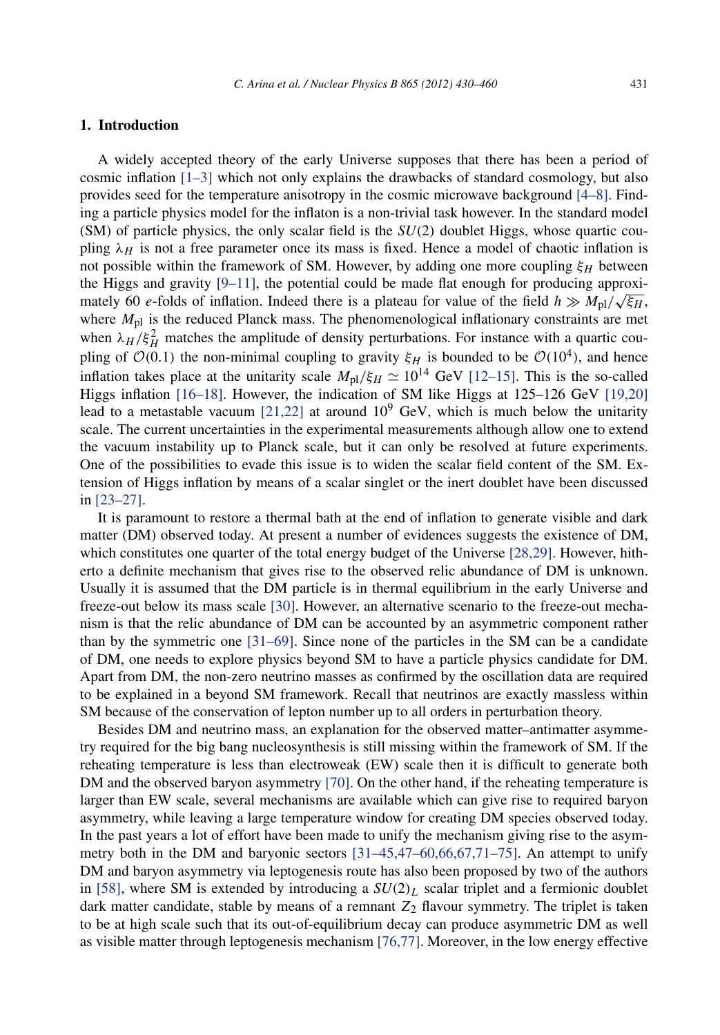## **1. Introduction**

A widely accepted theory of the early Universe supposes that there has been a period of cosmic inflation [\[1–3\]](#page-27-0) which not only explains the drawbacks of standard cosmology, but also provides seed for the temperature anisotropy in the cosmic microwave background [\[4–8\].](#page-27-0) Finding a particle physics model for the inflaton is a non-trivial task however. In the standard model (SM) of particle physics, the only scalar field is the *SU(*2*)* doublet Higgs, whose quartic coupling  $\lambda_H$  is not a free parameter once its mass is fixed. Hence a model of chaotic inflation is not possible within the framework of SM. However, by adding one more coupling  $\xi_H$  between the Higgs and gravity  $[9-11]$ , the potential could be made flat enough for producing approxithe Higgs and gravity  $\left[\frac{9-11}{11}\right]$ , the potential could be made flat enough for producing approximately 60 *e*-folds of inflation. Indeed there is a plateau for value of the field  $h \gg M_{pl}/\sqrt{\xi_H}$ , where  $M_{\text{pl}}$  is the reduced Planck mass. The phenomenological inflationary constraints are met when  $\lambda_H/\xi_H^2$  matches the amplitude of density perturbations. For instance with a quartic coupling of  $\mathcal{O}(0.1)$  the non-minimal coupling to gravity  $\xi_H$  is bounded to be  $\mathcal{O}(10^4)$ , and hence inflation takes place at the unitarity scale  $M_{\text{pl}}/\xi_H \simeq 10^{14}$  GeV [\[12–15\].](#page-27-0) This is the so-called Higgs inflation [\[16–18\].](#page-27-0) However, the indication of SM like Higgs at 125–126 GeV [\[19,20\]](#page-28-0) lead to a metastable vacuum [\[21,22\]](#page-28-0) at around  $10^9$  GeV, which is much below the unitarity scale. The current uncertainties in the experimental measurements although allow one to extend the vacuum instability up to Planck scale, but it can only be resolved at future experiments. One of the possibilities to evade this issue is to widen the scalar field content of the SM. Extension of Higgs inflation by means of a scalar singlet or the inert doublet have been discussed in [\[23–27\].](#page-28-0)

It is paramount to restore a thermal bath at the end of inflation to generate visible and dark matter (DM) observed today. At present a number of evidences suggests the existence of DM, which constitutes one quarter of the total energy budget of the Universe [\[28,29\].](#page-28-0) However, hitherto a definite mechanism that gives rise to the observed relic abundance of DM is unknown. Usually it is assumed that the DM particle is in thermal equilibrium in the early Universe and freeze-out below its mass scale [\[30\].](#page-28-0) However, an alternative scenario to the freeze-out mechanism is that the relic abundance of DM can be accounted by an asymmetric component rather than by the symmetric one [\[31–69\].](#page-28-0) Since none of the particles in the SM can be a candidate of DM, one needs to explore physics beyond SM to have a particle physics candidate for DM. Apart from DM, the non-zero neutrino masses as confirmed by the oscillation data are required to be explained in a beyond SM framework. Recall that neutrinos are exactly massless within SM because of the conservation of lepton number up to all orders in perturbation theory.

Besides DM and neutrino mass, an explanation for the observed matter–antimatter asymmetry required for the big bang nucleosynthesis is still missing within the framework of SM. If the reheating temperature is less than electroweak (EW) scale then it is difficult to generate both DM and the observed baryon asymmetry [\[70\].](#page-29-0) On the other hand, if the reheating temperature is larger than EW scale, several mechanisms are available which can give rise to required baryon asymmetry, while leaving a large temperature window for creating DM species observed today. In the past years a lot of effort have been made to unify the mechanism giving rise to the asymmetry both in the DM and baryonic sectors  $[31–45,47–60,66,67,71–75]$ . An attempt to unify DM and baryon asymmetry via leptogenesis route has also been proposed by two of the authors in [\[58\],](#page-29-0) where SM is extended by introducing a  $SU(2)_L$  scalar triplet and a fermionic doublet dark matter candidate, stable by means of a remnant  $Z_2$  flavour symmetry. The triplet is taken to be at high scale such that its out-of-equilibrium decay can produce asymmetric DM as well as visible matter through leptogenesis mechanism [\[76,77\].](#page-29-0) Moreover, in the low energy effective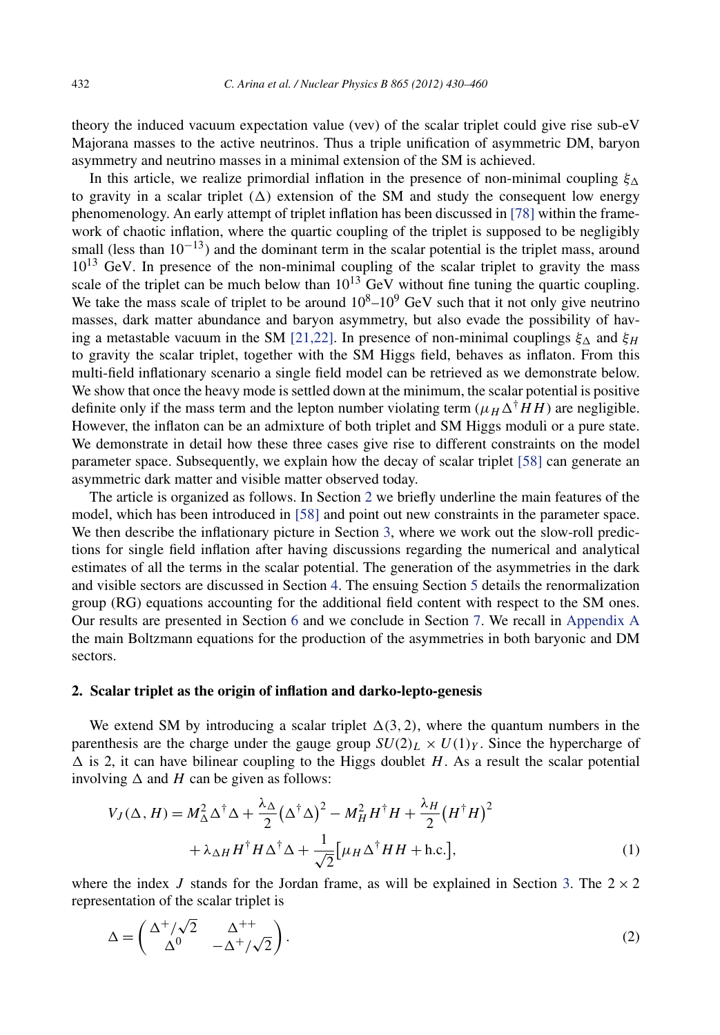<span id="page-2-0"></span>theory the induced vacuum expectation value (vev) of the scalar triplet could give rise sub-eV Majorana masses to the active neutrinos. Thus a triple unification of asymmetric DM, baryon asymmetry and neutrino masses in a minimal extension of the SM is achieved.

In this article, we realize primordial inflation in the presence of non-minimal coupling  $\xi_{\Delta}$ to gravity in a scalar triplet  $(\Delta)$  extension of the SM and study the consequent low energy phenomenology. An early attempt of triplet inflation has been discussed in [\[78\]](#page-29-0) within the framework of chaotic inflation, where the quartic coupling of the triplet is supposed to be negligibly small (less than  $10^{-13}$ ) and the dominant term in the scalar potential is the triplet mass, around  $10^{13}$  GeV. In presence of the non-minimal coupling of the scalar triplet to gravity the mass scale of the triplet can be much below than  $10^{13}$  GeV without fine tuning the quartic coupling. We take the mass scale of triplet to be around  $10^8-10^9$  GeV such that it not only give neutrino masses, dark matter abundance and baryon asymmetry, but also evade the possibility of hav-ing a metastable vacuum in the SM [\[21,22\].](#page-28-0) In presence of non-minimal couplings  $\xi_{\Delta}$  and  $\xi_{H}$ to gravity the scalar triplet, together with the SM Higgs field, behaves as inflaton. From this multi-field inflationary scenario a single field model can be retrieved as we demonstrate below. We show that once the heavy mode is settled down at the minimum, the scalar potential is positive definite only if the mass term and the lepton number violating term  $(\mu_H \Delta^{\dagger} H H)$  are negligible. However, the inflaton can be an admixture of both triplet and SM Higgs moduli or a pure state. We demonstrate in detail how these three cases give rise to different constraints on the model parameter space. Subsequently, we explain how the decay of scalar triplet [\[58\]](#page-29-0) can generate an asymmetric dark matter and visible matter observed today.

The article is organized as follows. In Section 2 we briefly underline the main features of the model, which has been introduced in [\[58\]](#page-29-0) and point out new constraints in the parameter space. We then describe the inflationary picture in Section [3,](#page-4-0) where we work out the slow-roll predictions for single field inflation after having discussions regarding the numerical and analytical estimates of all the terms in the scalar potential. The generation of the asymmetries in the dark and visible sectors are discussed in Section [4.](#page-11-0) The ensuing Section [5](#page-13-0) details the renormalization group (RG) equations accounting for the additional field content with respect to the SM ones. Our results are presented in Section [6](#page-17-0) and we conclude in Section [7.](#page-24-0) We recall in [Appendix A](#page-26-0) the main Boltzmann equations for the production of the asymmetries in both baryonic and DM sectors.

# **2. Scalar triplet as the origin of inflation and darko-lepto-genesis**

We extend SM by introducing a scalar triplet  $\Delta(3, 2)$ , where the quantum numbers in the parenthesis are the charge under the gauge group  $SU(2)_L \times U(1)_Y$ . Since the hypercharge of  $\Delta$  is 2, it can have bilinear coupling to the Higgs doublet *H*. As a result the scalar potential involving  $\Delta$  and *H* can be given as follows:

$$
V_J(\Delta, H) = M_{\Delta}^2 \Delta^{\dagger} \Delta + \frac{\lambda_{\Delta}}{2} (\Delta^{\dagger} \Delta)^2 - M_H^2 H^{\dagger} H + \frac{\lambda_H}{2} (H^{\dagger} H)^2
$$
  
+  $\lambda_{\Delta H} H^{\dagger} H \Delta^{\dagger} \Delta + \frac{1}{\sqrt{2}} [\mu_H \Delta^{\dagger} H H + \text{h.c.}],$  (1)

where the index *J* stands for the Jordan frame, as will be explained in Section [3.](#page-4-0) The  $2 \times 2$ representation of the scalar triplet is

$$
\Delta = \begin{pmatrix} \Delta^+/\sqrt{2} & \Delta^{++} \\ \Delta^0 & -\Delta^+/\sqrt{2} \end{pmatrix} . \tag{2}
$$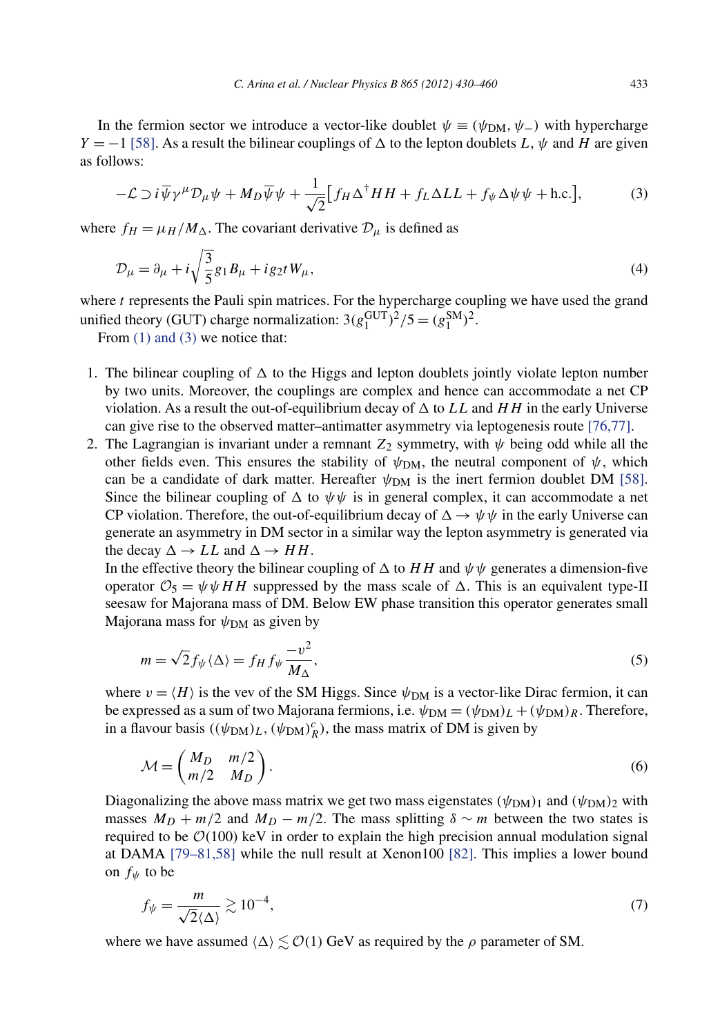<span id="page-3-0"></span>In the fermion sector we introduce a vector-like doublet  $\psi \equiv (\psi_{DM}, \psi_{-})$  with hypercharge *Y* = −1 [\[58\].](#page-29-0) As a result the bilinear couplings of  $\Delta$  to the lepton doublets *L*,  $\psi$  and *H* are given as follows:

$$
-\mathcal{L} \supset i \overline{\psi} \gamma^{\mu} \mathcal{D}_{\mu} \psi + M_{D} \overline{\psi} \psi + \frac{1}{\sqrt{2}} \big[ f_{H} \Delta^{\dagger} H H + f_{L} \Delta L L + f_{\psi} \Delta \psi \psi + \text{h.c.} \big],\tag{3}
$$

where  $f_H = \mu_H / M_\Delta$ . The covariant derivative  $\mathcal{D}_\mu$  is defined as

$$
\mathcal{D}_{\mu} = \partial_{\mu} + i \sqrt{\frac{3}{5}} g_1 B_{\mu} + i g_2 t W_{\mu}, \tag{4}
$$

where *t* represents the Pauli spin matrices. For the hypercharge coupling we have used the grand unified theory (GUT) charge normalization:  $3(g_1^{\text{GUT}})^2/5 = (g_1^{\text{SM}})^2$ .

From  $(1)$  and  $(3)$  we notice that:

- 1. The bilinear coupling of  $\Delta$  to the Higgs and lepton doublets jointly violate lepton number by two units. Moreover, the couplings are complex and hence can accommodate a net CP violation. As a result the out-of-equilibrium decay of  $\Delta$  to *LL* and *HH* in the early Universe can give rise to the observed matter–antimatter asymmetry via leptogenesis route [\[76,77\].](#page-29-0)
- 2. The Lagrangian is invariant under a remnant  $Z_2$  symmetry, with  $\psi$  being odd while all the other fields even. This ensures the stability of  $\psi_{DM}$ , the neutral component of  $\psi$ , which can be a candidate of dark matter. Hereafter  $\psi_{DM}$  is the inert fermion doublet DM [\[58\].](#page-29-0) Since the bilinear coupling of  $\Delta$  to  $\psi \psi$  is in general complex, it can accommodate a net CP violation. Therefore, the out-of-equilibrium decay of  $\Delta \rightarrow \psi \psi$  in the early Universe can generate an asymmetry in DM sector in a similar way the lepton asymmetry is generated via the decay  $\Delta \rightarrow LL$  and  $\Delta \rightarrow HH$ .

In the effective theory the bilinear coupling of  $\Delta$  to *HH* and  $\psi \psi$  generates a dimension-five operator  $\mathcal{O}_5 = \psi \psi H H$  suppressed by the mass scale of  $\Delta$ . This is an equivalent type-II seesaw for Majorana mass of DM. Below EW phase transition this operator generates small Majorana mass for *ψ*DM as given by

$$
m = \sqrt{2} f_{\psi} \langle \Delta \rangle = f_H f_{\psi} \frac{-v^2}{M_{\Delta}},\tag{5}
$$

where  $v = \langle H \rangle$  is the vev of the SM Higgs. Since  $\psi_{DM}$  is a vector-like Dirac fermion, it can be expressed as a sum of two Majorana fermions, i.e.  $\psi_{DM} = (\psi_{DM})_L + (\psi_{DM})_R$ . Therefore, in a flavour basis  $((\psi_{DM})_L, (\psi_{DM})_R^c)$ , the mass matrix of DM is given by

$$
\mathcal{M} = \begin{pmatrix} M_D & m/2 \\ m/2 & M_D \end{pmatrix} . \tag{6}
$$

Diagonalizing the above mass matrix we get two mass eigenstates  $(\psi_{DM})_1$  and  $(\psi_{DM})_2$  with masses  $M_D + m/2$  and  $M_D - m/2$ . The mass splitting  $\delta \sim m$  between the two states is required to be  $\mathcal{O}(100)$  keV in order to explain the high precision annual modulation signal at DAMA [\[79–81,58\]](#page-29-0) while the null result at Xenon100 [\[82\].](#page-29-0) This implies a lower bound on *fψ* to be

$$
f_{\psi} = \frac{m}{\sqrt{2} \langle \Delta \rangle} \gtrsim 10^{-4},\tag{7}
$$

where we have assumed  $\langle \Delta \rangle \lesssim \mathcal{O}(1)$  GeV as required by the  $\rho$  parameter of SM.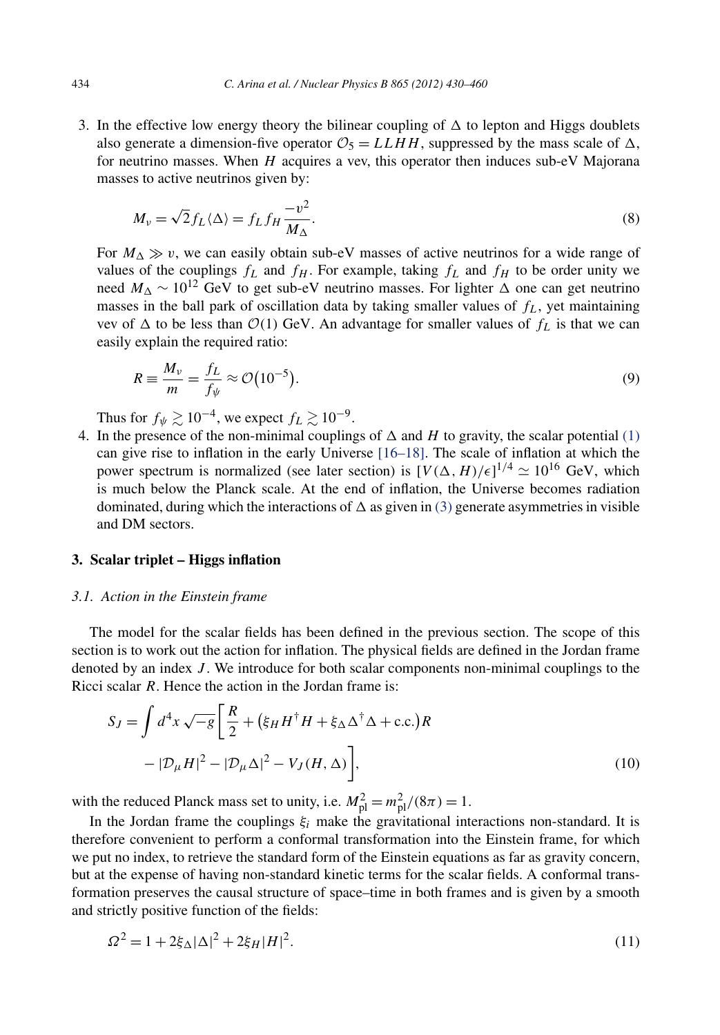<span id="page-4-0"></span>3. In the effective low energy theory the bilinear coupling of  $\Delta$  to lepton and Higgs doublets also generate a dimension-five operator  $\mathcal{O}_5 = L L H H$ , suppressed by the mass scale of  $\Delta$ , for neutrino masses. When *H* acquires a vev, this operator then induces sub-eV Majorana masses to active neutrinos given by:

$$
M_{\nu} = \sqrt{2} f_L \langle \Delta \rangle = f_L f_H \frac{-v^2}{M_{\Delta}}.
$$
\n(8)

For  $M_{\Lambda} \gg v$ , we can easily obtain sub-eV masses of active neutrinos for a wide range of values of the couplings  $f_L$  and  $f_H$ . For example, taking  $f_L$  and  $f_H$  to be order unity we need  $M_A \sim 10^{12}$  GeV to get sub-eV neutrino masses. For lighter  $\Delta$  one can get neutrino masses in the ball park of oscillation data by taking smaller values of  $f_L$ , yet maintaining vev of  $\Delta$  to be less than  $\mathcal{O}(1)$  GeV. An advantage for smaller values of  $f_L$  is that we can easily explain the required ratio:

$$
R \equiv \frac{M_{\nu}}{m} = \frac{f_L}{f_{\psi}} \approx \mathcal{O}\left(10^{-5}\right). \tag{9}
$$

Thus for  $f_{\psi} \gtrsim 10^{-4}$ , we expect  $f_L \gtrsim 10^{-9}$ .

4. In the presence of the non-minimal couplings of  $\Delta$  and  $H$  to gravity, the scalar potential [\(1\)](#page-2-0) can give rise to inflation in the early Universe [\[16–18\].](#page-27-0) The scale of inflation at which the power spectrum is normalized (see later section) is  $[V(\Delta, H)/\epsilon]^{1/4} \simeq 10^{16}$  GeV, which is much below the Planck scale. At the end of inflation, the Universe becomes radiation dominated, during which the interactions of  $\Delta$  as given in [\(3\)](#page-3-0) generate asymmetries in visible and DM sectors.

# **3. Scalar triplet – Higgs inflation**

## *3.1. Action in the Einstein frame*

The model for the scalar fields has been defined in the previous section. The scope of this section is to work out the action for inflation. The physical fields are defined in the Jordan frame denoted by an index *J* . We introduce for both scalar components non-minimal couplings to the Ricci scalar *R*. Hence the action in the Jordan frame is:

$$
S_J = \int d^4x \sqrt{-g} \left[ \frac{R}{2} + (\xi_H H^\dagger H + \xi_\Delta \Delta^\dagger \Delta + \text{c.c.}) R - |\mathcal{D}_\mu H|^2 - |\mathcal{D}_\mu \Delta|^2 - V_J(H, \Delta) \right],\tag{10}
$$

with the reduced Planck mass set to unity, i.e.  $M_{\text{pl}}^2 = m_{\text{pl}}^2/(8\pi) = 1$ .

In the Jordan frame the couplings  $\xi$ <sub>*i*</sub> make the gravitational interactions non-standard. It is therefore convenient to perform a conformal transformation into the Einstein frame, for which we put no index, to retrieve the standard form of the Einstein equations as far as gravity concern, but at the expense of having non-standard kinetic terms for the scalar fields. A conformal transformation preserves the causal structure of space–time in both frames and is given by a smooth and strictly positive function of the fields:

$$
\Omega^2 = 1 + 2\xi_{\Delta} |\Delta|^2 + 2\xi_H |H|^2. \tag{11}
$$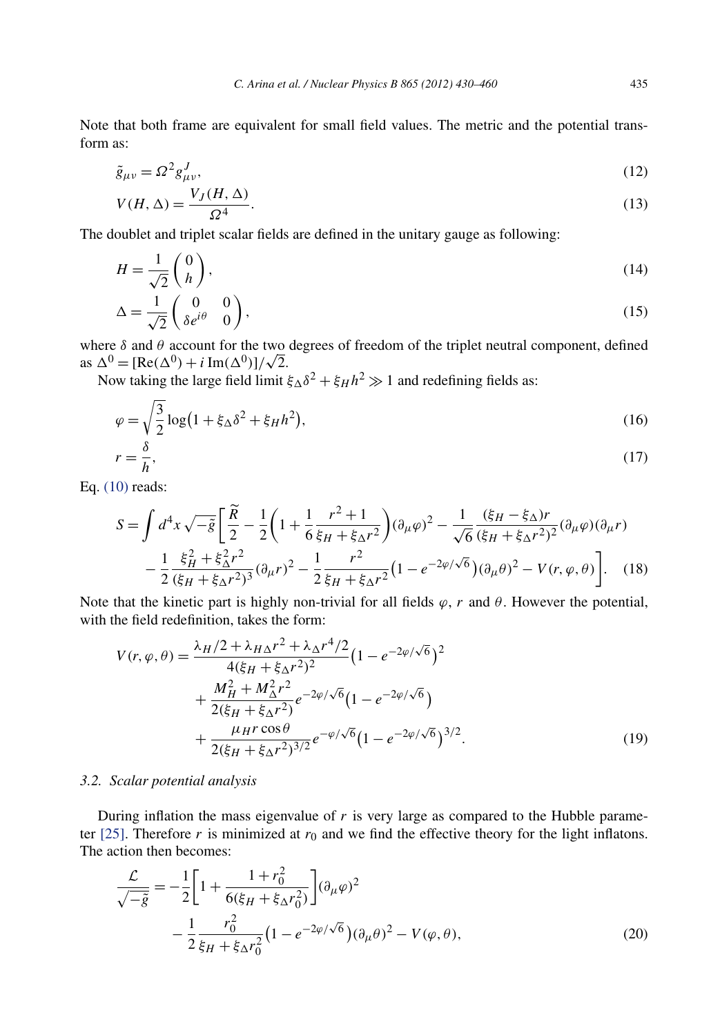<span id="page-5-0"></span>Note that both frame are equivalent for small field values. The metric and the potential transform as:

$$
\tilde{g}_{\mu\nu} = \Omega^2 g_{\mu\nu}^J,\tag{12}
$$

$$
V(H, \Delta) = \frac{V_J(H, \Delta)}{\Omega^4}.
$$
\n(13)

The doublet and triplet scalar fields are defined in the unitary gauge as following:

$$
H = \frac{1}{\sqrt{2}} \begin{pmatrix} 0 \\ h \end{pmatrix},\tag{14}
$$

$$
\Delta = \frac{1}{\sqrt{2}} \begin{pmatrix} 0 & 0 \\ \delta e^{i\theta} & 0 \end{pmatrix},\tag{15}
$$

where  $\delta$  and  $\theta$  account for the two degrees of freedom of the triplet neutral component, defined where  $\delta$  and  $\theta$  account for the two<br>as  $\Delta^0 = [\text{Re}(\Delta^0) + i \text{Im}(\Delta^0)]/\sqrt{2}$ .

Now taking the large field limit  $\xi \Delta \delta^2 + \xi_H h^2 \gg 1$  and redefining fields as:

$$
\varphi = \sqrt{\frac{3}{2}} \log \left( 1 + \xi_{\Delta} \delta^2 + \xi_H h^2 \right),\tag{16}
$$
\n
$$
r = \frac{\delta}{h},\tag{17}
$$

Eq. [\(10\)](#page-4-0) reads:

$$
S = \int d^4x \sqrt{-\tilde{g}} \left[ \frac{\tilde{R}}{2} - \frac{1}{2} \left( 1 + \frac{1}{6} \frac{r^2 + 1}{\xi_H + \xi_{\Delta} r^2} \right) (\partial_{\mu} \varphi)^2 - \frac{1}{\sqrt{6}} \frac{(\xi_H - \xi_{\Delta}) r}{(\xi_H + \xi_{\Delta} r^2)^2} (\partial_{\mu} \varphi) (\partial_{\mu} r) - \frac{1}{2} \frac{\xi_H^2 + \xi_{\Delta}^2 r^2}{(\xi_H + \xi_{\Delta} r^2)^3} (\partial_{\mu} r)^2 - \frac{1}{2} \frac{r^2}{\xi_H + \xi_{\Delta} r^2} (1 - e^{-2\varphi/\sqrt{6}}) (\partial_{\mu} \theta)^2 - V(r, \varphi, \theta) \right]. \tag{18}
$$

Note that the kinetic part is highly non-trivial for all fields  $\varphi$ , *r* and  $\theta$ . However the potential, with the field redefinition, takes the form:

$$
V(r, \varphi, \theta) = \frac{\lambda_H/2 + \lambda_{H\Delta}r^2 + \lambda_{\Delta}r^4/2}{4(\xi_H + \xi_{\Delta}r^2)^2} \left(1 - e^{-2\varphi/\sqrt{6}}\right)^2 + \frac{M_H^2 + M_{\Delta}^2r^2}{2(\xi_H + \xi_{\Delta}r^2)} e^{-2\varphi/\sqrt{6}} \left(1 - e^{-2\varphi/\sqrt{6}}\right) + \frac{\mu_H r \cos \theta}{2(\xi_H + \xi_{\Delta}r^2)^{3/2}} e^{-\varphi/\sqrt{6}} \left(1 - e^{-2\varphi/\sqrt{6}}\right)^{3/2}.
$$
(19)

## *3.2. Scalar potential analysis*

During inflation the mass eigenvalue of *r* is very large as compared to the Hubble parameter  $[25]$ . Therefore *r* is minimized at  $r_0$  and we find the effective theory for the light inflatons. The action then becomes:

$$
\frac{\mathcal{L}}{\sqrt{-\tilde{g}}} = -\frac{1}{2} \bigg[ 1 + \frac{1 + r_0^2}{6(\xi_H + \xi_\Delta r_0^2)} \bigg] (\partial_\mu \varphi)^2 \n- \frac{1}{2} \frac{r_0^2}{\xi_H + \xi_\Delta r_0^2} (1 - e^{-2\varphi/\sqrt{6}}) (\partial_\mu \theta)^2 - V(\varphi, \theta),
$$
\n(20)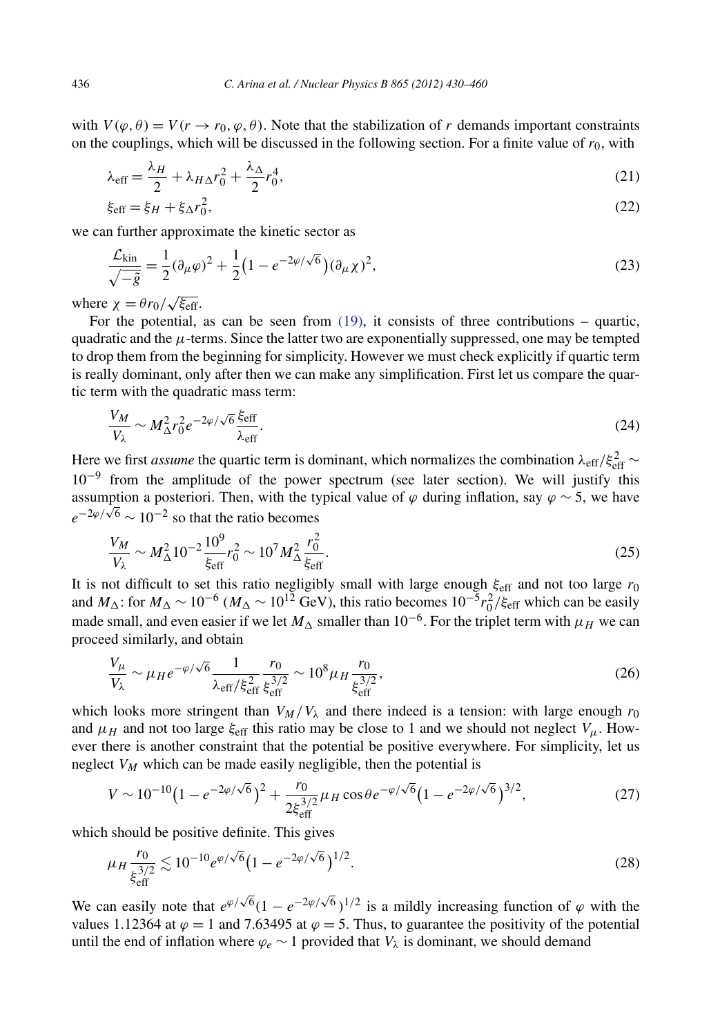<span id="page-6-0"></span>with  $V(\varphi, \theta) = V(r \to r_0, \varphi, \theta)$ . Note that the stabilization of *r* demands important constraints on the couplings, which will be discussed in the following section. For a finite value of  $r_0$ , with

$$
\lambda_{\text{eff}} = \frac{\lambda_H}{2} + \lambda_{H\Delta} r_0^2 + \frac{\lambda_{\Delta}}{2} r_0^4,\tag{21}
$$

$$
\xi_{\text{eff}} = \xi_H + \xi_\Delta r_0^2,\tag{22}
$$

we can further approximate the kinetic sector as

$$
\frac{\mathcal{L}_{\text{kin}}}{\sqrt{-\tilde{g}}} = \frac{1}{2} (\partial_{\mu} \varphi)^2 + \frac{1}{2} (1 - e^{-2\varphi/\sqrt{6}}) (\partial_{\mu} \chi)^2,
$$
\n(23)

where  $\chi = \theta r_0 / \sqrt{\xi_{\text{eff}}}.$ 

For the potential, as can be seen from  $(19)$ , it consists of three contributions – quartic, quadratic and the *μ*-terms. Since the latter two are exponentially suppressed, one may be tempted to drop them from the beginning for simplicity. However we must check explicitly if quartic term is really dominant, only after then we can make any simplification. First let us compare the quartic term with the quadratic mass term:

$$
\frac{V_M}{V_\lambda} \sim M_\Delta^2 r_0^2 e^{-2\varphi/\sqrt{6}} \frac{\xi_{\text{eff}}}{\lambda_{\text{eff}}}.
$$
\n(24)

Here we first *assume* the quartic term is dominant, which normalizes the combination  $\lambda_{\text{eff}}/\xi_{\text{eff}}^2 \sim$  $10^{-9}$  from the amplitude of the power spectrum (see later section). We will justify this assumption a posteriori. Then, with the typical value of  $\varphi$  during inflation, say  $\varphi \sim 5$ , we have  $e^{-2\varphi/\sqrt{6}} \sim 10^{-2}$  so that the ratio becomes

$$
\frac{V_M}{V_\lambda} \sim M_\Delta^2 10^{-2} \frac{10^9}{\xi_{\text{eff}}} r_0^2 \sim 10^7 M_\Delta^2 \frac{r_0^2}{\xi_{\text{eff}}}.
$$
\n(25)

It is not difficult to set this ratio negligibly small with large enough *ξ*eff and not too large *r*<sup>0</sup> and  $M_{\Delta}$ : for  $M_{\Delta} \sim 10^{-6}$  ( $M_{\Delta} \sim 10^{12}$  GeV), this ratio becomes  $10^{-5} r_0^2/\xi_{eff}$  which can be easily made small, and even easier if we let  $M_{\Delta}$  smaller than 10<sup>-6</sup>. For the triplet term with  $\mu_H$  we can proceed similarly, and obtain

$$
\frac{V_{\mu}}{V_{\lambda}} \sim \mu_{H} e^{-\varphi/\sqrt{6}} \frac{1}{\lambda_{\text{eff}}/\xi_{\text{eff}}^{2}} \frac{r_{0}}{\xi_{\text{eff}}^{3/2}} \sim 10^{8} \mu_{H} \frac{r_{0}}{\xi_{\text{eff}}^{3/2}},\tag{26}
$$

which looks more stringent than  $V_M/V_\lambda$  and there indeed is a tension: with large enough  $r_0$ and  $\mu_H$  and not too large  $\xi_{\text{eff}}$  this ratio may be close to 1 and we should not neglect  $V_\mu$ . However there is another constraint that the potential be positive everywhere. For simplicity, let us neglect  $V_M$  which can be made easily negligible, then the potential is

$$
V \sim 10^{-10} \left(1 - e^{-2\varphi/\sqrt{6}}\right)^2 + \frac{r_0}{2\xi_{\text{eff}}^{3/2}} \mu_H \cos\theta e^{-\varphi/\sqrt{6}} \left(1 - e^{-2\varphi/\sqrt{6}}\right)^{3/2},\tag{27}
$$

which should be positive definite. This gives

$$
\mu_H \frac{r_0}{\xi_{\text{eff}}^{3/2}} \lesssim 10^{-10} e^{\varphi/\sqrt{6}} \left(1 - e^{-2\varphi/\sqrt{6}}\right)^{1/2}.
$$
\n(28)

We can easily note that  $e^{\varphi/\sqrt{6}}(1 - e^{-2\varphi/\sqrt{6}})^{1/2}$  is a mildly increasing function of  $\varphi$  with the values 1.12364 at  $\varphi = 1$  and 7.63495 at  $\varphi = 5$ . Thus, to guarantee the positivity of the potential until the end of inflation where  $\varphi_e \sim 1$  provided that  $V_\lambda$  is dominant, we should demand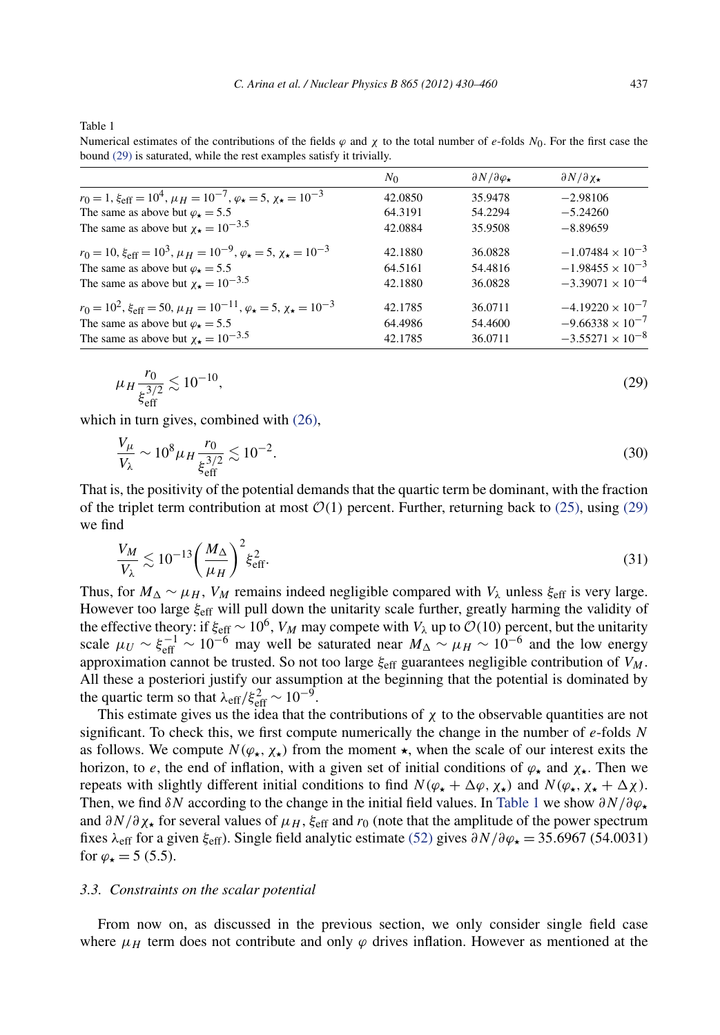<span id="page-7-0"></span>Table 1

Numerical estimates of the contributions of the fields *ϕ* and *χ* to the total number of *e*-folds *N*0. For the first case the bound (29) is saturated, while the rest examples satisfy it trivially.

|                                                                                                                | $N_0$   | $\partial N/\partial \varphi_{\star}$ | $\partial N/\partial x_{\star}$ |
|----------------------------------------------------------------------------------------------------------------|---------|---------------------------------------|---------------------------------|
| $r_0 = 1$ , $\xi_{\text{eff}} = 10^4$ , $\mu_H = 10^{-7}$ , $\varphi_{\star} = 5$ , $\chi_{\star} = 10^{-3}$   | 42.0850 | 35.9478                               | $-2.98106$                      |
| The same as above but $\varphi_{\star} = 5.5$                                                                  | 64.3191 | 54.2294                               | $-5.24260$                      |
| The same as above but $\chi_{\star} = 10^{-3.5}$                                                               | 42.0884 | 35.9508                               | $-8.89659$                      |
| $r_0 = 10$ , $\xi_{\text{eff}} = 10^3$ , $\mu_H = 10^{-9}$ , $\varphi_{\star} = 5$ , $\chi_{\star} = 10^{-3}$  | 42.1880 | 36.0828                               | $-1.07484 \times 10^{-3}$       |
| The same as above but $\varphi_{\star} = 5.5$                                                                  | 64.5161 | 54.4816                               | $-1.98455 \times 10^{-3}$       |
| The same as above but $\chi_{\star} = 10^{-3.5}$                                                               | 42.1880 | 36.0828                               | $-3.39071 \times 10^{-4}$       |
| $r_0 = 10^2$ , $\xi_{\text{eff}} = 50$ , $\mu_H = 10^{-11}$ , $\varphi_{\star} = 5$ , $\chi_{\star} = 10^{-3}$ | 42.1785 | 36.0711                               | $-4.19220 \times 10^{-7}$       |
| The same as above but $\varphi$ = 5.5                                                                          | 64.4986 | 54.4600                               | $-9.66338 \times 10^{-7}$       |
| The same as above but $\chi_{\star} = 10^{-3.5}$                                                               | 42.1785 | 36.0711                               | $-3.55271 \times 10^{-8}$       |

$$
\mu_H \frac{r_0}{\xi_{\text{eff}}^{3/2}} \lesssim 10^{-10},\tag{29}
$$

which in turn gives, combined with  $(26)$ ,

$$
\frac{V_{\mu}}{V_{\lambda}} \sim 10^8 \mu_H \frac{r_0}{\xi_{\text{eff}}^{3/2}} \lesssim 10^{-2}.
$$
 (30)

That is, the positivity of the potential demands that the quartic term be dominant, with the fraction of the triplet term contribution at most  $\mathcal{O}(1)$  percent. Further, returning back to [\(25\),](#page-6-0) using (29) we find

$$
\frac{V_M}{V_\lambda} \lesssim 10^{-13} \left(\frac{M_\Delta}{\mu_H}\right)^2 \xi_{\text{eff}}^2. \tag{31}
$$

Thus, for  $M_{\Delta} \sim \mu_H$ ,  $V_M$  remains indeed negligible compared with  $V_{\lambda}$  unless  $\xi_{\text{eff}}$  is very large. However too large *ξ*eff will pull down the unitarity scale further, greatly harming the validity of the effective theory: if  $\xi_{\text{eff}} \sim 10^6$ , *V<sub>M</sub>* may compete with *V*<sub> $\lambda$ </sub> up to  $\mathcal{O}(10)$  percent, but the unitarity scale  $\mu_U \sim \xi_{\text{eff}}^{-1} \sim 10^{-6}$  may well be saturated near  $M_{\Delta} \sim \mu_H \sim 10^{-6}$  and the low energy approximation cannot be trusted. So not too large  $\xi_{\text{eff}}$  guarantees negligible contribution of  $V_M$ . All these a posteriori justify our assumption at the beginning that the potential is dominated by the quartic term so that  $\lambda_{\text{eff}}/\xi_{\text{eff}}^2 \sim 10^{-9}$ .

This estimate gives us the idea that the contributions of  $\chi$  to the observable quantities are not significant. To check this, we first compute numerically the change in the number of *e*-folds *N* as follows. We compute  $N(\varphi_{\star}, \chi_{\star})$  from the moment  $\star$ , when the scale of our interest exits the horizon, to *e*, the end of inflation, with a given set of initial conditions of  $\varphi_{\star}$  and  $\chi_{\star}$ . Then we repeats with slightly different initial conditions to find  $N(\varphi_{\star} + \Delta \varphi, \chi_{\star})$  and  $N(\varphi_{\star}, \chi_{\star} + \Delta \chi)$ . Then, we find *δN* according to the change in the initial field values. In Table 1 we show  $\partial N/\partial \varphi_{\star}$ and  $\partial N/\partial \chi_{\star}$  for several values of  $\mu_H$ ,  $\xi_{\text{eff}}$  and  $r_0$  (note that the amplitude of the power spectrum fixes  $\lambda_{\text{eff}}$  for a given  $\xi_{\text{eff}}$ ). Single field analytic estimate [\(52\)](#page-11-0) gives  $\frac{\partial N}{\partial \varphi_{\star}} = 35.6967$  (54.0031) for  $\varphi_{\star} = 5$  (5.5).

#### *3.3. Constraints on the scalar potential*

From now on, as discussed in the previous section, we only consider single field case where  $\mu_H$  term does not contribute and only  $\varphi$  drives inflation. However as mentioned at the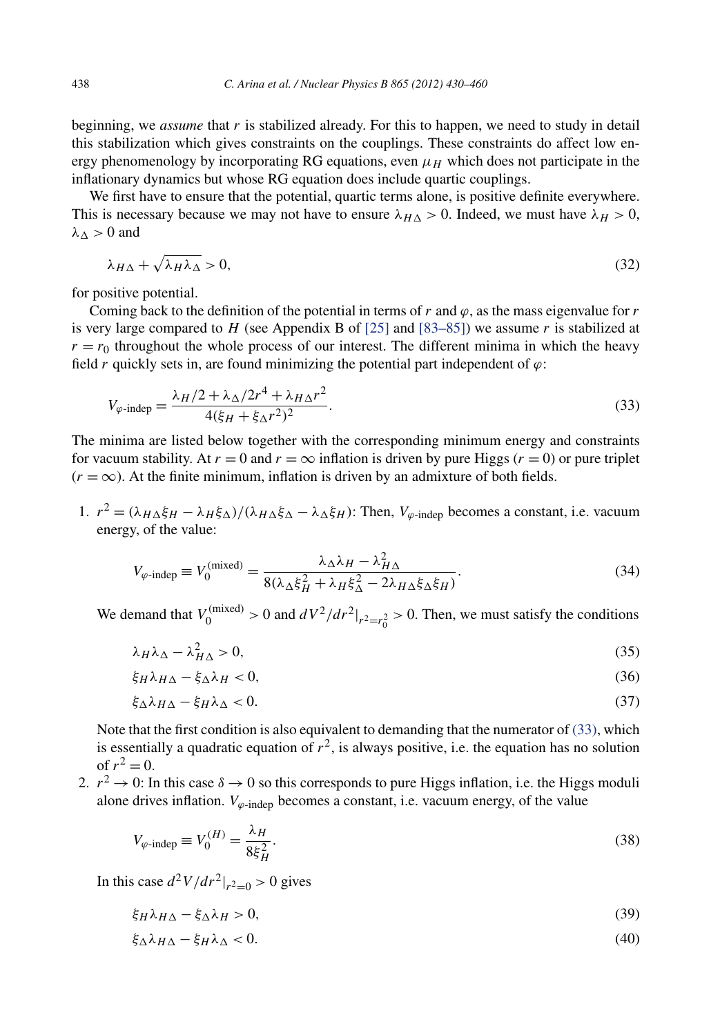<span id="page-8-0"></span>beginning, we *assume* that *r* is stabilized already. For this to happen, we need to study in detail this stabilization which gives constraints on the couplings. These constraints do affect low energy phenomenology by incorporating RG equations, even  $\mu_H$  which does not participate in the inflationary dynamics but whose RG equation does include quartic couplings.

We first have to ensure that the potential, quartic terms alone, is positive definite everywhere. This is necessary because we may not have to ensure  $\lambda_{H\Delta} > 0$ . Indeed, we must have  $\lambda_H > 0$ ,  $\lambda_{\Delta} > 0$  and

$$
\lambda_{H\Delta} + \sqrt{\lambda_H \lambda_\Delta} > 0,\tag{32}
$$

for positive potential.

Coming back to the definition of the potential in terms of  $r$  and  $\varphi$ , as the mass eigenvalue for  $r$ is very large compared to *H* (see Appendix B of [\[25\]](#page-28-0) and [\[83–85\]\)](#page-30-0) we assume *r* is stabilized at  $r = r_0$  throughout the whole process of our interest. The different minima in which the heavy field *r* quickly sets in, are found minimizing the potential part independent of  $\varphi$ :

$$
V_{\varphi\text{-indep}} = \frac{\lambda_H/2 + \lambda_\Delta/2r^4 + \lambda_{H\Delta}r^2}{4(\xi_H + \xi_\Delta r^2)^2}.
$$
\n(33)

The minima are listed below together with the corresponding minimum energy and constraints for vacuum stability. At  $r = 0$  and  $r = \infty$  inflation is driven by pure Higgs ( $r = 0$ ) or pure triplet  $(r = \infty)$ . At the finite minimum, inflation is driven by an admixture of both fields.

1.  $r^2 = (\lambda_H \Delta \xi_H - \lambda_H \xi_\Delta)/(\lambda_H \Delta \xi_\Delta - \lambda_\Delta \xi_H)$ : Then,  $V_{\varphi}$ -indep becomes a constant, i.e. vacuum energy, of the value:

$$
V_{\varphi\text{-indep}} \equiv V_0^{\text{(mixed)}} = \frac{\lambda_\Delta \lambda_H - \lambda_{H\Delta}^2}{8(\lambda_\Delta \xi_H^2 + \lambda_H \xi_\Delta^2 - 2\lambda_{H\Delta} \xi_\Delta \xi_H)}.\tag{34}
$$

We demand that  $V_0^{(\text{mixed})} > 0$  and  $dV^2/dr^2|_{r^2=r_0^2} > 0$ . Then, we must satisfy the conditions

$$
\lambda_H \lambda_\Delta - \lambda_{H\Delta}^2 > 0,\tag{35}
$$

$$
\xi_H \lambda_{H\Delta} - \xi_\Delta \lambda_H < 0,\tag{36}
$$

$$
\xi_{\Delta}\lambda_{H\Delta} - \xi_{H}\lambda_{\Delta} < 0. \tag{37}
$$

Note that the first condition is also equivalent to demanding that the numerator of (33), which is essentially a quadratic equation of  $r^2$ , is always positive, i.e. the equation has no solution of  $r^2 = 0$ .

2.  $r^2 \rightarrow 0$ : In this case  $\delta \rightarrow 0$  so this corresponds to pure Higgs inflation, i.e. the Higgs moduli alone drives inflation.  $V_{\varphi\text{-index}}$  becomes a constant, i.e. vacuum energy, of the value

$$
V_{\varphi\text{-indep}} \equiv V_0^{(H)} = \frac{\lambda_H}{8\xi_H^2}.\tag{38}
$$

In this case  $d^2V/dr^2|_{r^2=0} > 0$  gives

$$
\xi_H \lambda_{H\Delta} - \xi_\Delta \lambda_H > 0,\tag{39}
$$

$$
\xi_{\Delta}\lambda_{H\Delta} - \xi_H\lambda_{\Delta} < 0. \tag{40}
$$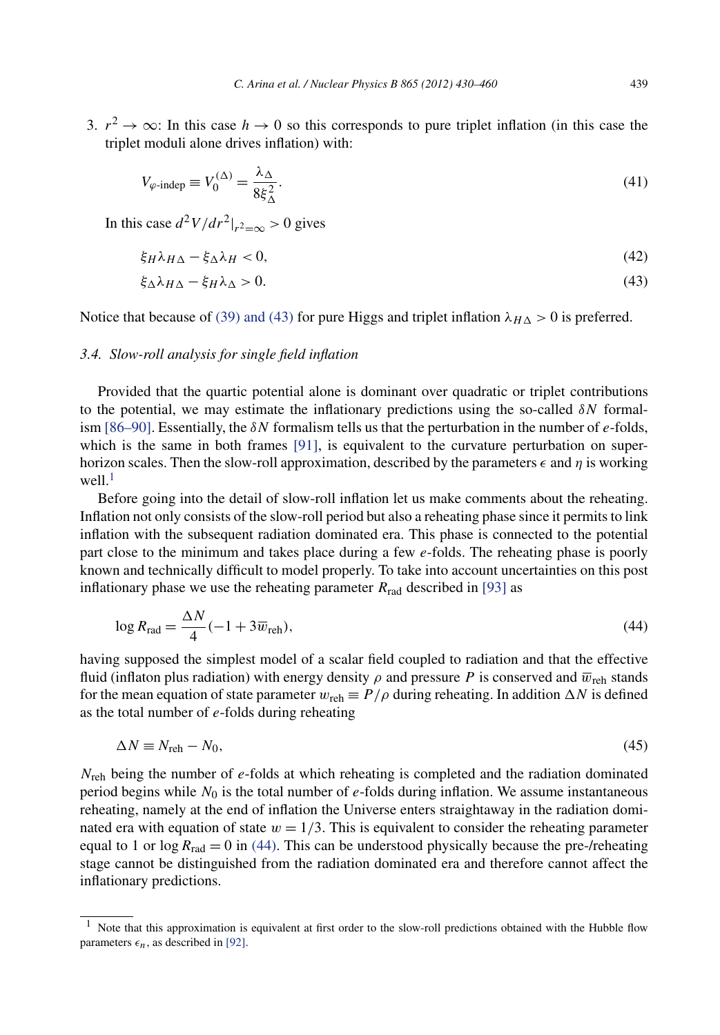<span id="page-9-0"></span>3.  $r^2 \to \infty$ : In this case  $h \to 0$  so this corresponds to pure triplet inflation (in this case the triplet moduli alone drives inflation) with:

$$
V_{\varphi\text{-indep}} \equiv V_0^{(\Delta)} = \frac{\lambda_\Delta}{8\xi_\Delta^2}.\tag{41}
$$

In this case  $d^2V/dr^2|_{r^2=\infty} > 0$  gives

$$
\xi_H \lambda_{H\Delta} - \xi_\Delta \lambda_H < 0,\tag{42}
$$

$$
\xi_{\Delta}\lambda_{H\Delta} - \xi_{H}\lambda_{\Delta} > 0. \tag{43}
$$

Notice that because of [\(39\) and \(43\)](#page-8-0) for pure Higgs and triplet inflation  $\lambda_{H\Delta} > 0$  is preferred.

# *3.4. Slow-roll analysis for single field inflation*

Provided that the quartic potential alone is dominant over quadratic or triplet contributions to the potential, we may estimate the inflationary predictions using the so-called  $\delta N$  formalism [\[86–90\].](#page-30-0) Essentially, the *δN* formalism tells us that the perturbation in the number of *e*-folds, which is the same in both frames [\[91\],](#page-30-0) is equivalent to the curvature perturbation on superhorizon scales. Then the slow-roll approximation, described by the parameters  $\epsilon$  and  $\eta$  is working well $1$ <sup>1</sup>

Before going into the detail of slow-roll inflation let us make comments about the reheating. Inflation not only consists of the slow-roll period but also a reheating phase since it permits to link inflation with the subsequent radiation dominated era. This phase is connected to the potential part close to the minimum and takes place during a few *e*-folds. The reheating phase is poorly known and technically difficult to model properly. To take into account uncertainties on this post inflationary phase we use the reheating parameter  $R_{rad}$  described in [\[93\]](#page-30-0) as

$$
\log R_{\rm rad} = \frac{\Delta N}{4} (-1 + 3\overline{w}_{\rm reh}),\tag{44}
$$

having supposed the simplest model of a scalar field coupled to radiation and that the effective fluid (inflaton plus radiation) with energy density  $\rho$  and pressure *P* is conserved and  $\overline{w}_{\text{reh}}$  stands for the mean equation of state parameter  $w_{\text{reh}} \equiv P/\rho$  during reheating. In addition  $\Delta N$  is defined as the total number of *e*-folds during reheating

$$
\Delta N \equiv N_{\rm reh} - N_0,\tag{45}
$$

*N*reh being the number of *e*-folds at which reheating is completed and the radiation dominated period begins while *N*<sup>0</sup> is the total number of *e*-folds during inflation. We assume instantaneous reheating, namely at the end of inflation the Universe enters straightaway in the radiation dominated era with equation of state  $w = 1/3$ . This is equivalent to consider the reheating parameter equal to 1 or  $\log R_{\text{rad}} = 0$  in (44). This can be understood physically because the pre-/reheating stage cannot be distinguished from the radiation dominated era and therefore cannot affect the inflationary predictions.

 $<sup>1</sup>$  Note that this approximation is equivalent at first order to the slow-roll predictions obtained with the Hubble flow</sup> parameters  $\epsilon_n$ , as described in [\[92\].](#page-30-0)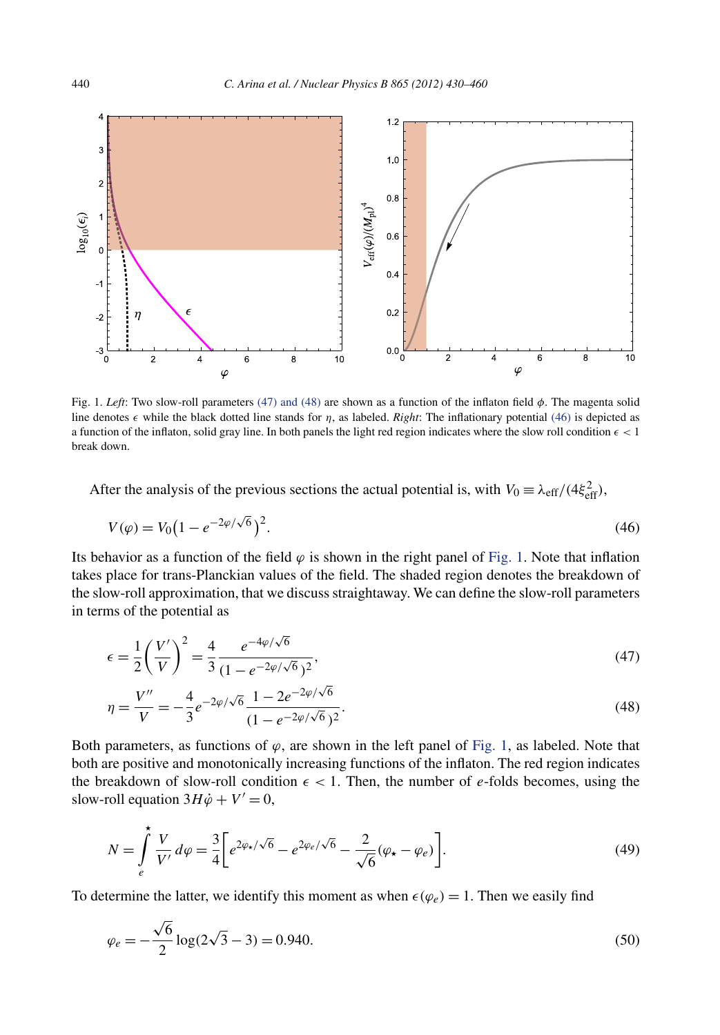<span id="page-10-0"></span>

Fig. 1. *Left*: Two slow-roll parameters (47) and (48) are shown as a function of the inflaton field *φ*. The magenta solid line denotes  $\epsilon$  while the black dotted line stands for  $\eta$ , as labeled. *Right*: The inflationary potential (46) is depicted as a function of the inflaton, solid gray line. In both panels the light red region indicates where the slow roll condition  $\epsilon$  < 1 break down.

After the analysis of the previous sections the actual potential is, with  $V_0 \equiv \lambda_{\text{eff}}/(4\xi_{\text{eff}}^2)$ ,

$$
V(\varphi) = V_0 \left( 1 - e^{-2\varphi/\sqrt{6}} \right)^2.
$$
\n(46)

Its behavior as a function of the field  $\varphi$  is shown in the right panel of Fig. 1. Note that inflation takes place for trans-Planckian values of the field. The shaded region denotes the breakdown of the slow-roll approximation, that we discuss straightaway. We can define the slow-roll parameters in terms of the potential as

$$
\epsilon = \frac{1}{2} \left( \frac{V'}{V} \right)^2 = \frac{4}{3} \frac{e^{-4\varphi/\sqrt{6}}}{(1 - e^{-2\varphi/\sqrt{6}})^2},\tag{47}
$$

$$
\eta = \frac{V''}{V} = -\frac{4}{3}e^{-2\varphi/\sqrt{6}} \frac{1 - 2e^{-2\varphi/\sqrt{6}}}{(1 - e^{-2\varphi/\sqrt{6}})^2}.
$$
\n(48)

Both parameters, as functions of  $\varphi$ , are shown in the left panel of Fig. 1, as labeled. Note that both are positive and monotonically increasing functions of the inflaton. The red region indicates the breakdown of slow-roll condition  $\epsilon$  < 1. Then, the number of *e*-folds becomes, using the slow-roll equation  $3H\dot{\varphi} + V' = 0$ ,

$$
N = \int_{e}^{t} \frac{V}{V'} d\varphi = \frac{3}{4} \bigg[ e^{2\varphi_{\star}/\sqrt{6}} - e^{2\varphi_{e}/\sqrt{6}} - \frac{2}{\sqrt{6}} (\varphi_{\star} - \varphi_{e}) \bigg]. \tag{49}
$$

To determine the latter, we identify this moment as when  $\epsilon(\varphi_e) = 1$ . Then we easily find

$$
\varphi_e = -\frac{\sqrt{6}}{2}\log(2\sqrt{3} - 3) = 0.940.
$$
\n(50)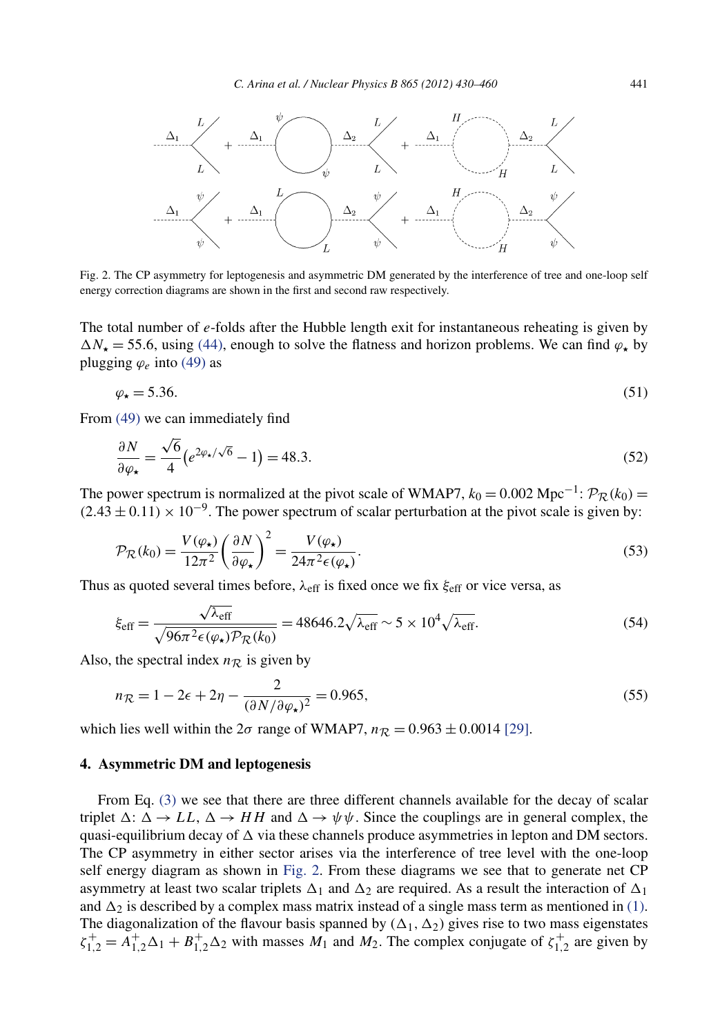<span id="page-11-0"></span>

Fig. 2. The CP asymmetry for leptogenesis and asymmetric DM generated by the interference of tree and one-loop self energy correction diagrams are shown in the first and second raw respectively.

The total number of *e*-folds after the Hubble length exit for instantaneous reheating is given by  $\Delta N_{\star}$  = 55.6, using [\(44\),](#page-9-0) enough to solve the flatness and horizon problems. We can find  $\varphi_{\star}$  by plugging *ϕe* into [\(49\)](#page-10-0) as

$$
\varphi_{\star} = 5.36. \tag{51}
$$

From [\(49\)](#page-10-0) we can immediately find

$$
\frac{\partial N}{\partial \varphi_{\star}} = \frac{\sqrt{6}}{4} \left( e^{2\varphi_{\star}/\sqrt{6}} - 1 \right) = 48.3. \tag{52}
$$

The power spectrum is normalized at the pivot scale of WMAP7,  $k_0 = 0.002 \text{ Mpc}^{-1}$ :  $\mathcal{P}_R(k_0)$  =  $(2.43 \pm 0.11) \times 10^{-9}$ . The power spectrum of scalar perturbation at the pivot scale is given by:

$$
\mathcal{P}_{\mathcal{R}}(k_0) = \frac{V(\varphi_\star)}{12\pi^2} \left(\frac{\partial N}{\partial \varphi_\star}\right)^2 = \frac{V(\varphi_\star)}{24\pi^2 \epsilon(\varphi_\star)}.
$$
\n(53)

Thus as quoted several times before, *λ*eff is fixed once we fix *ξ*eff or vice versa, as

$$
\xi_{\text{eff}} = \frac{\sqrt{\lambda_{\text{eff}}}}{\sqrt{96\pi^2 \epsilon(\varphi_\star)\mathcal{P}_\mathcal{R}(k_0)}} = 48646.2\sqrt{\lambda_{\text{eff}}} \sim 5 \times 10^4 \sqrt{\lambda_{\text{eff}}}.\tag{54}
$$

Also, the spectral index  $n_R$  is given by

$$
n_{\mathcal{R}} = 1 - 2\epsilon + 2\eta - \frac{2}{(\partial N/\partial \varphi_\star)^2} = 0.965,\tag{55}
$$

which lies well within the  $2\sigma$  range of WMAP7,  $n_{\mathcal{R}} = 0.963 \pm 0.0014$  [\[29\].](#page-28-0)

# **4. Asymmetric DM and leptogenesis**

From Eq. [\(3\)](#page-3-0) we see that there are three different channels available for the decay of scalar triplet  $\Delta: \Delta \to LL$ ,  $\Delta \to HH$  and  $\Delta \to \psi \psi$ . Since the couplings are in general complex, the quasi-equilibrium decay of  $\Delta$  via these channels produce asymmetries in lepton and DM sectors. The CP asymmetry in either sector arises via the interference of tree level with the one-loop self energy diagram as shown in Fig. 2. From these diagrams we see that to generate net CP asymmetry at least two scalar triplets  $\Delta_1$  and  $\Delta_2$  are required. As a result the interaction of  $\Delta_1$ and  $\Delta_2$  is described by a complex mass matrix instead of a single mass term as mentioned in [\(1\).](#page-2-0) The diagonalization of the flavour basis spanned by  $(\Delta_1, \Delta_2)$  gives rise to two mass eigenstates  $\zeta_{1,2}^+ = A_{1,2}^+ \Delta_1 + B_{1,2}^+ \Delta_2$  with masses  $M_1$  and  $M_2$ . The complex conjugate of  $\zeta_{1,2}^+$  are given by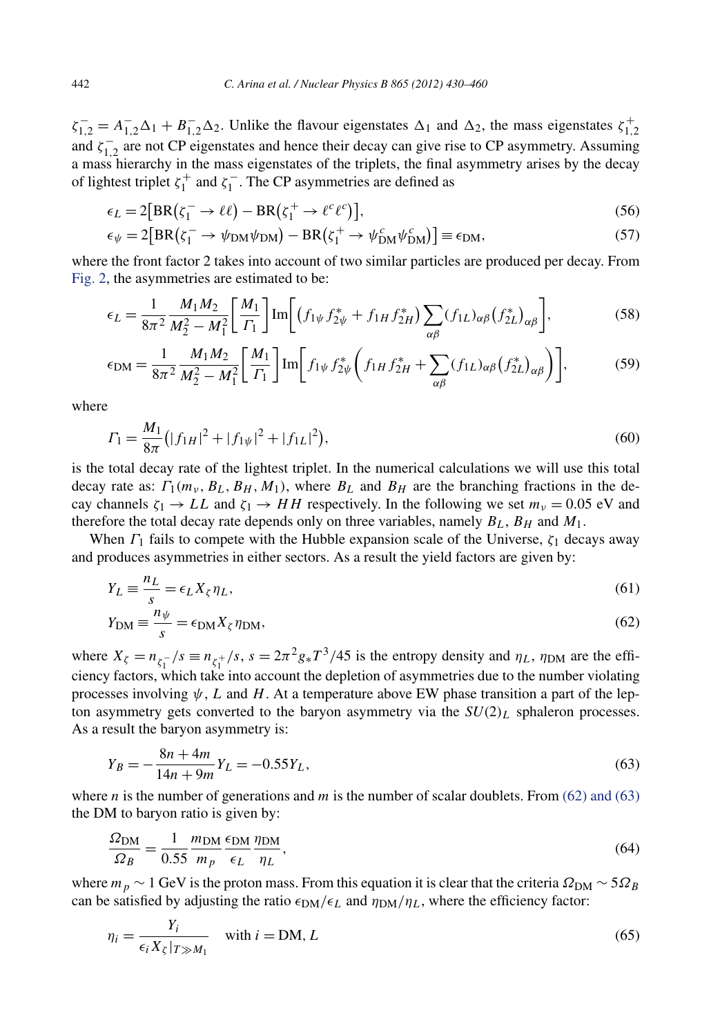<span id="page-12-0"></span> $\zeta_{1,2}^- = A_{1,2}^- \Delta_1 + B_{1,2}^- \Delta_2$ . Unlike the flavour eigenstates  $\Delta_1$  and  $\Delta_2$ , the mass eigenstates  $\zeta_{1,2}^+$ and  $\zeta_{1,2}^-$  are not CP eigenstates and hence their decay can give rise to CP asymmetry. Assuming a mass hierarchy in the mass eigenstates of the triplets, the final asymmetry arises by the decay of lightest triplet  $\zeta_1^+$  and  $\zeta_1^-$ . The CP asymmetries are defined as

$$
\epsilon_L = 2[BR(\zeta_1^- \to \ell\ell) - BR(\zeta_1^+ \to \ell^c\ell^c)],\tag{56}
$$

$$
\epsilon_{\psi} = 2[BR(\zeta_1^- \to \psi_{DM}\psi_{DM}) - BR(\zeta_1^+ \to \psi_{DM}^c\psi_{DM}^c)] \equiv \epsilon_{DM},\tag{57}
$$

where the front factor 2 takes into account of two similar particles are produced per decay. From [Fig. 2,](#page-11-0) the asymmetries are estimated to be:

$$
\epsilon_L = \frac{1}{8\pi^2} \frac{M_1 M_2}{M_2^2 - M_1^2} \left[ \frac{M_1}{\Gamma_1} \right] \text{Im} \left[ \left( f_{1\psi} f_{2\psi}^* + f_{1H} f_{2H}^* \right) \sum_{\alpha\beta} (f_{1L})_{\alpha\beta} \left( f_{2L}^* \right)_{\alpha\beta} \right],\tag{58}
$$

$$
\epsilon_{\rm DM} = \frac{1}{8\pi^2} \frac{M_1 M_2}{M_2^2 - M_1^2} \left[ \frac{M_1}{\Gamma_1} \right] \text{Im} \left[ f_{1\psi} f_{2\psi}^* \left( f_{1H} f_{2H}^* + \sum_{\alpha\beta} (f_{1L})_{\alpha\beta} (f_{2L}^*)_{\alpha\beta} \right) \right],\tag{59}
$$

where

$$
\Gamma_1 = \frac{M_1}{8\pi} \left( |f_{1H}|^2 + |f_{1\psi}|^2 + |f_{1L}|^2 \right),\tag{60}
$$

is the total decay rate of the lightest triplet. In the numerical calculations we will use this total decay rate as:  $\Gamma_1(m_v, B_L, B_H, M_1)$ , where  $B_L$  and  $B_H$  are the branching fractions in the decay channels  $\zeta_1 \to LL$  and  $\zeta_1 \to HH$  respectively. In the following we set  $m_v = 0.05$  eV and therefore the total decay rate depends only on three variables, namely  $B_L$ ,  $B_H$  and  $M_1$ .

When  $\Gamma_1$  fails to compete with the Hubble expansion scale of the Universe,  $\zeta_1$  decays away and produces asymmetries in either sectors. As a result the yield factors are given by:

$$
Y_L \equiv \frac{n_L}{s} = \epsilon_L X_\zeta \eta_L,\tag{61}
$$

$$
Y_{\rm DM} \equiv \frac{n_{\psi}}{s} = \epsilon_{\rm DM} X_{\zeta} \eta_{\rm DM},\tag{62}
$$

where  $X_{\zeta} = n_{\zeta_1^{-}}/s = n_{\zeta_1^{+}}/s$ ,  $s = 2\pi^2 g_* T^3/45$  is the entropy density and  $\eta_L$ ,  $\eta_{DM}$  are the efficiency factors, which take into account the depletion of asymmetries due to the number violating processes involving  $\psi$ , *L* and *H*. At a temperature above EW phase transition a part of the lepton asymmetry gets converted to the baryon asymmetry via the  $SU(2)_L$  sphaleron processes. As a result the baryon asymmetry is:

$$
Y_B = -\frac{8n + 4m}{14n + 9m} Y_L = -0.55Y_L,\tag{63}
$$

where *n* is the number of generations and *m* is the number of scalar doublets. From (62) and (63) the DM to baryon ratio is given by:

$$
\frac{\Omega_{\rm DM}}{\Omega_B} = \frac{1}{0.55} \frac{m_{\rm DM}}{m_p} \frac{\epsilon_{\rm DM}}{\epsilon_L} \frac{\eta_{\rm DM}}{\eta_L},\tag{64}
$$

where  $m_p \sim 1$  GeV is the proton mass. From this equation it is clear that the criteria  $\Omega_{DM} \sim 5 \Omega_B$ can be satisfied by adjusting the ratio  $\epsilon_{DM}/\epsilon_L$  and  $\eta_{DM}/\eta_L$ , where the efficiency factor:

$$
\eta_i = \frac{Y_i}{\epsilon_i X_{\zeta} |_{T \gg M_1}} \quad \text{with } i = \text{DM}, L \tag{65}
$$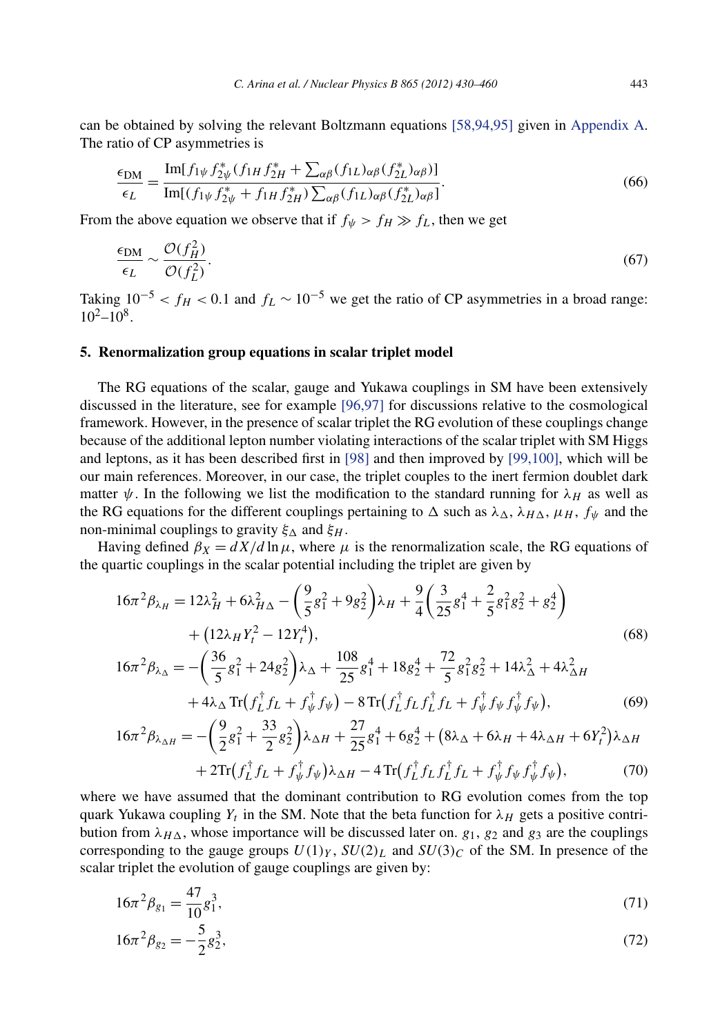<span id="page-13-0"></span>can be obtained by solving the relevant Boltzmann equations [\[58,94,95\]](#page-29-0) given in [Appendix A.](#page-26-0) The ratio of CP asymmetries is

$$
\frac{\epsilon_{\rm DM}}{\epsilon_L} = \frac{\text{Im}[f_{1\psi} f_{2\psi}^* (f_{1H} f_{2H}^* + \sum_{\alpha\beta} (f_{1L})_{\alpha\beta} (f_{2L}^* )_{\alpha\beta})]}{\text{Im}[ (f_{1\psi} f_{2\psi}^* + f_{1H} f_{2H}^* ) \sum_{\alpha\beta} (f_{1L})_{\alpha\beta} (f_{2L}^* )_{\alpha\beta}]}.
$$
(66)

From the above equation we observe that if  $f_{\psi} > f_H \gg f_L$ , then we get

$$
\frac{\epsilon_{\rm DM}}{\epsilon_L} \sim \frac{\mathcal{O}(f_H^2)}{\mathcal{O}(f_L^2)}.\tag{67}
$$

Taking  $10^{-5} < f_H < 0.1$  and  $f_L \sim 10^{-5}$  we get the ratio of CP asymmetries in a broad range:  $10^2 - 10^8$ 

### **5. Renormalization group equations in scalar triplet model**

The RG equations of the scalar, gauge and Yukawa couplings in SM have been extensively discussed in the literature, see for example [\[96,97\]](#page-30-0) for discussions relative to the cosmological framework. However, in the presence of scalar triplet the RG evolution of these couplings change because of the additional lepton number violating interactions of the scalar triplet with SM Higgs and leptons, as it has been described first in [\[98\]](#page-30-0) and then improved by [\[99,100\],](#page-30-0) which will be our main references. Moreover, in our case, the triplet couples to the inert fermion doublet dark matter  $\psi$ . In the following we list the modification to the standard running for  $\lambda_H$  as well as the RG equations for the different couplings pertaining to  $\Delta$  such as  $\lambda_{\Delta}$ ,  $\lambda_{H\Delta}$ ,  $\mu_H$ ,  $f_{\psi}$  and the non-minimal couplings to gravity  $ξ_Δ$  and  $ξ_H$ .

Having defined  $\beta_X = dX/d \ln \mu$ , where  $\mu$  is the renormalization scale, the RG equations of the quartic couplings in the scalar potential including the triplet are given by

$$
16\pi^2 \beta_{\lambda_H} = 12\lambda_H^2 + 6\lambda_{H\Delta}^2 - \left(\frac{9}{5}g_1^2 + 9g_2^2\right)\lambda_H + \frac{9}{4}\left(\frac{3}{25}g_1^4 + \frac{2}{5}g_1^2g_2^2 + g_2^4\right) + \left(12\lambda_H Y_t^2 - 12Y_t^4\right),
$$
  

$$
16\pi^2 \beta_{\lambda_{\Delta}} = -\left(\frac{36}{5}g_1^2 + 24g_2^2\right)\lambda_{\Delta} + \frac{108}{25}g_1^4 + 18g_2^4 + \frac{72}{5}g_1^2g_2^2 + 14\lambda_{\Delta}^2 + 4\lambda_{\Delta H}^2
$$
 (68)

$$
+4\lambda_{\Delta}\operatorname{Tr}\left(f_{L}^{\dagger}f_{L}+f_{\psi}^{\dagger}f_{\psi}\right)-8\operatorname{Tr}\left(f_{L}^{\dagger}f_{L}f_{L}^{\dagger}f_{L}+f_{\psi}^{\dagger}f_{\psi}f_{\psi}^{\dagger}f_{\psi}\right),\tag{69}
$$

$$
16\pi^2 \beta_{\lambda_{\Delta H}} = -\left(\frac{9}{2}g_1^2 + \frac{33}{2}g_2^2\right)\lambda_{\Delta H} + \frac{27}{25}g_1^4 + 6g_2^4 + (8\lambda_{\Delta} + 6\lambda_H + 4\lambda_{\Delta H} + 6Y_t^2)\lambda_{\Delta H}
$$

$$
+2\mathrm{Tr}\left(f_L^{\dagger}f_L+f_{\psi}^{\dagger}f_{\psi}\right)\lambda_{\Delta H}-4\mathrm{Tr}\left(f_L^{\dagger}f_Lf_L^{\dagger}f_L+f_{\psi}^{\dagger}f_{\psi}f_{\psi}^{\dagger}f_{\psi}\right),\tag{70}
$$

where we have assumed that the dominant contribution to RG evolution comes from the top quark Yukawa coupling  $Y_t$  in the SM. Note that the beta function for  $\lambda_H$  gets a positive contribution from  $\lambda_{H\Delta}$ , whose importance will be discussed later on.  $g_1$ ,  $g_2$  and  $g_3$  are the couplings corresponding to the gauge groups  $U(1)_Y$ ,  $SU(2)_L$  and  $SU(3)_C$  of the SM. In presence of the scalar triplet the evolution of gauge couplings are given by:

$$
16\pi^2\beta_{g_1} = \frac{47}{10}g_1^3,\tag{71}
$$

$$
16\pi^2 \beta_{g_2} = -\frac{5}{2} g_2^3,\tag{72}
$$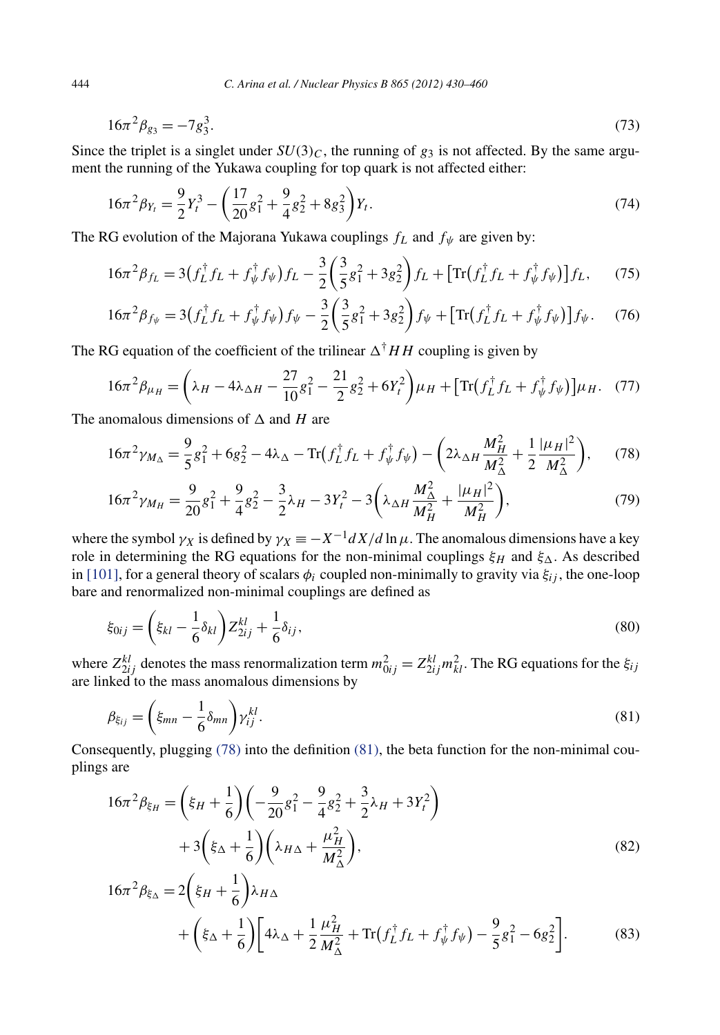$$
16\pi^2 \beta_{g_3} = -7g_3^3. \tag{73}
$$

Since the triplet is a singlet under  $SU(3)_C$ , the running of  $g_3$  is not affected. By the same argument the running of the Yukawa coupling for top quark is not affected either:

$$
16\pi^2 \beta_{Y_t} = \frac{9}{2} Y_t^3 - \left(\frac{17}{20} g_1^2 + \frac{9}{4} g_2^2 + 8 g_3^2\right) Y_t.
$$
 (74)

The RG evolution of the Majorana Yukawa couplings  $f_L$  and  $f_{\psi}$  are given by:

$$
16\pi^2 \beta_{f_L} = 3(f_L^{\dagger} f_L + f_{\psi}^{\dagger} f_{\psi}) f_L - \frac{3}{2} \left(\frac{3}{5} g_1^2 + 3 g_2^2\right) f_L + \left[\text{Tr}\left(f_L^{\dagger} f_L + f_{\psi}^{\dagger} f_{\psi}\right)\right] f_L, \tag{75}
$$

$$
16\pi^2 \beta_{f_{\psi}} = 3(f_L^{\dagger} f_L + f_{\psi}^{\dagger} f_{\psi}) f_{\psi} - \frac{3}{2} \left(\frac{3}{5} g_1^2 + 3 g_2^2\right) f_{\psi} + \left[\text{Tr}(f_L^{\dagger} f_L + f_{\psi}^{\dagger} f_{\psi})\right] f_{\psi}.
$$
 (76)

The RG equation of the coefficient of the trilinear  $\Delta^{\dagger} H H$  coupling is given by

$$
16\pi^2 \beta_{\mu} = \left(\lambda_H - 4\lambda_{\Delta H} - \frac{27}{10}g_1^2 - \frac{21}{2}g_2^2 + 6Y_t^2\right)\mu + \left[\text{Tr}\left(f_L^\dagger f_L + f_\psi^\dagger f_\psi\right)\right]\mu + \tag{77}
$$

The anomalous dimensions of  $\Delta$  and *H* are

$$
16\pi^2 \gamma_{M_{\Delta}} = \frac{9}{5} g_1^2 + 6g_2^2 - 4\lambda_{\Delta} - \text{Tr}\left(f_L^{\dagger} f_L + f_{\psi}^{\dagger} f_{\psi}\right) - \left(2\lambda_{\Delta H} \frac{M_H^2}{M_{\Delta}^2} + \frac{1}{2} \frac{|\mu_H|^2}{M_{\Delta}^2}\right),\tag{78}
$$

$$
16\pi^2 \gamma_{M_H} = \frac{9}{20} g_1^2 + \frac{9}{4} g_2^2 - \frac{3}{2} \lambda_H - 3Y_t^2 - 3 \left( \lambda_{\Delta H} \frac{M_A^2}{M_H^2} + \frac{|\mu_H|^2}{M_H^2} \right),\tag{79}
$$

where the symbol  $\gamma_X$  is defined by  $\gamma_X \equiv -X^{-1}dX/d\ln\mu$ . The anomalous dimensions have a key role in determining the RG equations for the non-minimal couplings  $\xi_H$  and  $\xi_{\Delta}$ . As described in [\[101\],](#page-30-0) for a general theory of scalars  $\phi_i$  coupled non-minimally to gravity via  $\xi_i$ , the one-loop bare and renormalized non-minimal couplings are defined as

$$
\xi_{0ij} = \left(\xi_{kl} - \frac{1}{6}\delta_{kl}\right) Z_{2ij}^{kl} + \frac{1}{6}\delta_{ij},\tag{80}
$$

where  $Z_{2ij}^{kl}$  denotes the mass renormalization term  $m_{0ij}^2 = Z_{2ij}^{kl}m_{kl}^2$ . The RG equations for the  $\xi_{ij}$ are linked to the mass anomalous dimensions by

$$
\beta_{\xi_{ij}} = \left(\xi_{mn} - \frac{1}{6}\delta_{mn}\right) \gamma_{ij}^{kl}.\tag{81}
$$

Consequently, plugging (78) into the definition (81), the beta function for the non-minimal couplings are

$$
16\pi^2 \beta_{\xi_H} = \left(\xi_H + \frac{1}{6}\right) \left(-\frac{9}{20}g_1^2 - \frac{9}{4}g_2^2 + \frac{3}{2}\lambda_H + 3Y_t^2\right) + 3\left(\xi_\Delta + \frac{1}{6}\right) \left(\lambda_{H\Delta} + \frac{\mu_H^2}{M_\Delta^2}\right),
$$
(82)

$$
16\pi^{2}\beta_{\xi_{\Delta}} = 2\left(\xi_{H} + \frac{1}{6}\right)\lambda_{H\Delta} + \left(\xi_{\Delta} + \frac{1}{6}\right)\left[4\lambda_{\Delta} + \frac{1}{2}\frac{\mu_{H}^{2}}{M_{\Delta}^{2}} + \text{Tr}(f_{L}^{\dagger}f_{L} + f_{\psi}^{\dagger}f_{\psi}) - \frac{9}{5}g_{1}^{2} - 6g_{2}^{2}\right].
$$
 (83)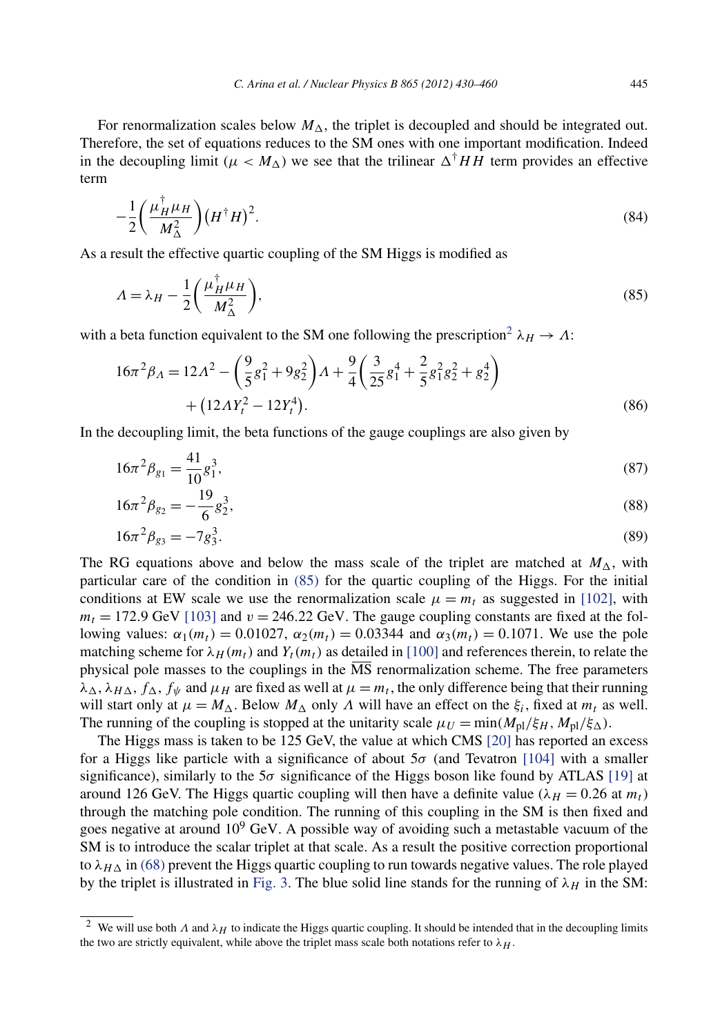<span id="page-15-0"></span>For renormalization scales below  $M_{\Delta}$ , the triplet is decoupled and should be integrated out. Therefore, the set of equations reduces to the SM ones with one important modification. Indeed in the decoupling limit ( $\mu < M_{\Lambda}$ ) we see that the trilinear  $\Delta^{\dagger} H H$  term provides an effective term

$$
-\frac{1}{2}\left(\frac{\mu_H^{\dagger}\mu_H}{M_{\Delta}^2}\right)(H^{\dagger}H)^2.
$$
\n(84)

As a result the effective quartic coupling of the SM Higgs is modified as

$$
\Lambda = \lambda_H - \frac{1}{2} \left( \frac{\mu_H^{\dagger} \mu_H}{M_{\Delta}^2} \right),\tag{85}
$$

with a beta function equivalent to the SM one following the prescription<sup>2</sup>  $\lambda_H \to \Lambda$ :

$$
16\pi^2 \beta_A = 12A^2 - \left(\frac{9}{5}g_1^2 + 9g_2^2\right)A + \frac{9}{4}\left(\frac{3}{25}g_1^4 + \frac{2}{5}g_1^2g_2^2 + g_2^4\right) + (12AY_t^2 - 12Y_t^4).
$$
\n(86)

In the decoupling limit, the beta functions of the gauge couplings are also given by

$$
16\pi^2\beta_{g_1} = \frac{41}{10}g_1^3,\tag{87}
$$

$$
16\pi^2 \beta_{g_2} = -\frac{19}{6} g_2^3,\tag{88}
$$

$$
16\pi^2 \beta_{g_3} = -7g_3^3. \tag{89}
$$

The RG equations above and below the mass scale of the triplet are matched at  $M_{\Lambda}$ , with particular care of the condition in (85) for the quartic coupling of the Higgs. For the initial conditions at EW scale we use the renormalization scale  $\mu = m_t$  as suggested in [\[102\],](#page-30-0) with  $m_t = 172.9$  GeV [\[103\]](#page-30-0) and  $v = 246.22$  GeV. The gauge coupling constants are fixed at the following values:  $α_1(m_t) = 0.01027$ ,  $α_2(m_t) = 0.03344$  and  $α_3(m_t) = 0.1071$ . We use the pole matching scheme for  $\lambda_H(m_t)$  and  $Y_t(m_t)$  as detailed in [\[100\]](#page-30-0) and references therein, to relate the physical pole masses to the couplings in the  $\overline{\text{MS}}$  renormalization scheme. The free parameters  $\lambda_{\Delta}$ ,  $\lambda_{H\Delta}$ ,  $f_{\Delta}$ ,  $f_{\psi}$  and  $\mu_H$  are fixed as well at  $\mu = m_t$ , the only difference being that their running will start only at  $\mu = M_{\Delta}$ . Below  $M_{\Delta}$  only  $\Lambda$  will have an effect on the  $\xi_i$ , fixed at  $m_t$  as well. The running of the coupling is stopped at the unitarity scale  $\mu_U = \min(M_{\text{pl}}/\xi_H, M_{\text{pl}}/\xi_\Delta)$ .

The Higgs mass is taken to be 125 GeV, the value at which CMS [\[20\]](#page-28-0) has reported an excess for a Higgs like particle with a significance of about 5*σ* (and Tevatron [\[104\]](#page-30-0) with a smaller significance), similarly to the 5*σ* significance of the Higgs boson like found by ATLAS [\[19\]](#page-28-0) at around 126 GeV. The Higgs quartic coupling will then have a definite value ( $\lambda_H = 0.26$  at  $m_t$ ) through the matching pole condition. The running of this coupling in the SM is then fixed and goes negative at around  $10^9$  GeV. A possible way of avoiding such a metastable vacuum of the SM is to introduce the scalar triplet at that scale. As a result the positive correction proportional to  $\lambda_{H\Delta}$  in [\(68\)](#page-13-0) prevent the Higgs quartic coupling to run towards negative values. The role played by the triplet is illustrated in [Fig. 3.](#page-16-0) The blue solid line stands for the running of  $\lambda_H$  in the SM:

<sup>&</sup>lt;sup>2</sup> We will use both *Λ* and  $\lambda_H$  to indicate the Higgs quartic coupling. It should be intended that in the decoupling limits the two are strictly equivalent, while above the triplet mass scale both notations refer to  $\lambda_H$ .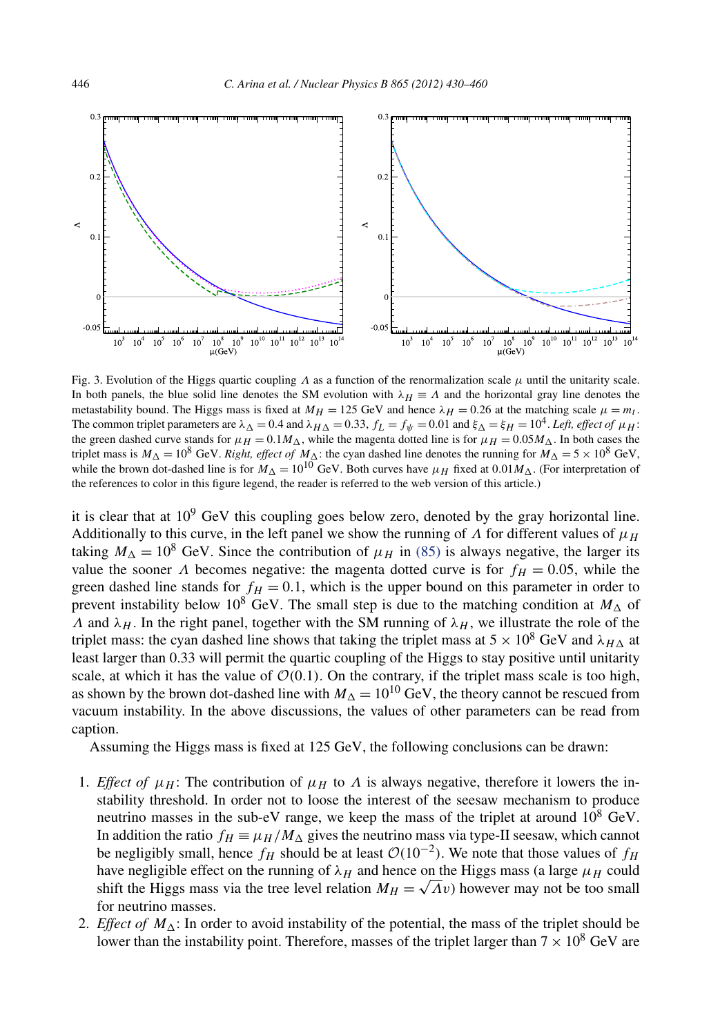<span id="page-16-0"></span>

Fig. 3. Evolution of the Higgs quartic coupling  $Λ$  as a function of the renormalization scale  $μ$  until the unitarity scale. In both panels, the blue solid line denotes the SM evolution with  $\lambda_H \equiv \Lambda$  and the horizontal gray line denotes the metastability bound. The Higgs mass is fixed at  $M_H = 125$  GeV and hence  $\lambda_H = 0.26$  at the matching scale  $\mu = m_t$ . The common triplet parameters are  $\lambda_{\Delta} = 0.4$  and  $\lambda_{H\Delta} = 0.33$ ,  $f_L = f_{\psi} = 0.01$  and  $\xi_{\Delta} = \xi_H = 10^4$ . *Left, effect of*  $\mu_H$ : the green dashed curve stands for  $\mu_H = 0.1 M_\text{A}$ , while the magenta dotted line is for  $\mu_H = 0.05 M_\text{A}$ . In both cases the triplet mass is  $M_{\Delta} = 10^8$  GeV. *Right, effect of*  $M_{\Delta}$ : the cyan dashed line denotes the running for  $M_{\Delta} = 5 \times 10^8$  GeV, while the brown dot-dashed line is for  $M_{\Delta} = 10^{10}$  GeV. Both curves have  $\mu_H$  fixed at 0.01 $M_{\Delta}$ . (For interpretation of the references to color in this figure legend, the reader is referred to the web version of this article.)

it is clear that at  $10^9$  GeV this coupling goes below zero, denoted by the gray horizontal line. Additionally to this curve, in the left panel we show the running of  $\Lambda$  for different values of  $\mu_H$ taking  $M_A = 10^8$  GeV. Since the contribution of  $\mu_H$  in [\(85\)](#page-15-0) is always negative, the larger its value the sooner *Λ* becomes negative: the magenta dotted curve is for  $f<sub>H</sub> = 0.05$ , while the green dashed line stands for  $f_H = 0.1$ , which is the upper bound on this parameter in order to prevent instability below 10<sup>8</sup> GeV. The small step is due to the matching condition at  $M_{\Delta}$  of *Λ* and *λ<sub>H</sub>*. In the right panel, together with the SM running of  $λ$ <sub>*H*</sub>, we illustrate the role of the triplet mass: the cyan dashed line shows that taking the triplet mass at  $5 \times 10^8$  GeV and  $\lambda_{H\Lambda}$  at least larger than 0.33 will permit the quartic coupling of the Higgs to stay positive until unitarity scale, at which it has the value of  $\mathcal{O}(0.1)$ . On the contrary, if the triplet mass scale is too high, as shown by the brown dot-dashed line with  $M_{\Delta} = 10^{10}$  GeV, the theory cannot be rescued from vacuum instability. In the above discussions, the values of other parameters can be read from caption.

Assuming the Higgs mass is fixed at 125 GeV, the following conclusions can be drawn:

- 1. *Effect of*  $\mu_H$ : The contribution of  $\mu_H$  to  $\Lambda$  is always negative, therefore it lowers the instability threshold. In order not to loose the interest of the seesaw mechanism to produce neutrino masses in the sub-eV range, we keep the mass of the triplet at around  $10^8$  GeV. In addition the ratio  $f_H \equiv \mu_H / M_{\Delta}$  gives the neutrino mass via type-II seesaw, which cannot be negligibly small, hence  $f_H$  should be at least  $O(10^{-2})$ . We note that those values of  $f_H$ have negligible effect on the running of  $\lambda_H$  and hence on the Higgs mass (a large  $\mu_H$  could shift the Higgs mass via the tree level relation  $M_H = \sqrt{\Lambda v}$  however may not be too small for neutrino masses.
- 2. *Effect of*  $M_{\Delta}$ : In order to avoid instability of the potential, the mass of the triplet should be lower than the instability point. Therefore, masses of the triplet larger than  $7 \times 10^8$  GeV are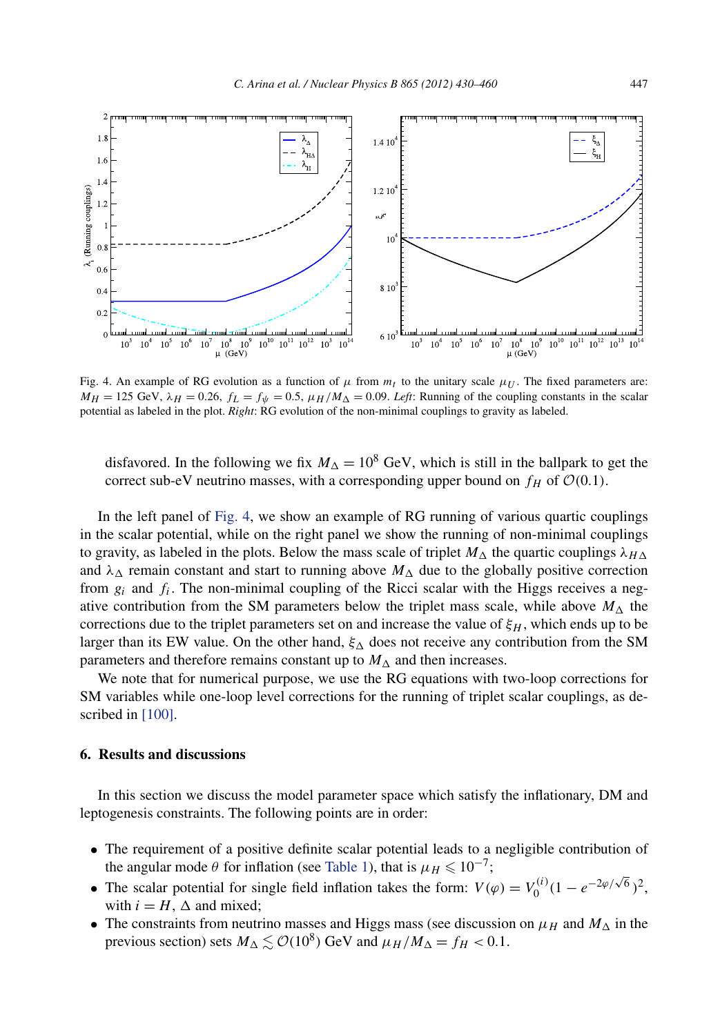<span id="page-17-0"></span>

Fig. 4. An example of RG evolution as a function of  $\mu$  from  $m_t$  to the unitary scale  $\mu_U$ . The fixed parameters are:  $M_H = 125$  GeV,  $\lambda_H = 0.26$ ,  $f_L = f_{\psi} = 0.5$ ,  $\mu_H / M_{\Delta} = 0.09$ . *Left*: Running of the coupling constants in the scalar potential as labeled in the plot. *Right*: RG evolution of the non-minimal couplings to gravity as labeled.

disfavored. In the following we fix  $M<sub>\Delta</sub> = 10<sup>8</sup>$  GeV, which is still in the ballpark to get the correct sub-eV neutrino masses, with a corresponding upper bound on  $f_H$  of  $\mathcal{O}(0.1)$ .

In the left panel of Fig. 4, we show an example of RG running of various quartic couplings in the scalar potential, while on the right panel we show the running of non-minimal couplings to gravity, as labeled in the plots. Below the mass scale of triplet  $M_{\Delta}$  the quartic couplings  $\lambda_{H\Delta}$ and  $\lambda_{\Delta}$  remain constant and start to running above  $M_{\Delta}$  due to the globally positive correction from  $g_i$  and  $f_i$ . The non-minimal coupling of the Ricci scalar with the Higgs receives a negative contribution from the SM parameters below the triplet mass scale, while above  $M_{\Lambda}$  the corrections due to the triplet parameters set on and increase the value of  $\xi_H$ , which ends up to be larger than its EW value. On the other hand,  $\xi_{\Delta}$  does not receive any contribution from the SM parameters and therefore remains constant up to  $M_{\Delta}$  and then increases.

We note that for numerical purpose, we use the RG equations with two-loop corrections for SM variables while one-loop level corrections for the running of triplet scalar couplings, as de-scribed in [\[100\].](#page-30-0)

## **6. Results and discussions**

In this section we discuss the model parameter space which satisfy the inflationary, DM and leptogenesis constraints. The following points are in order:

- The requirement of a positive definite scalar potential leads to a negligible contribution of the angular mode  $\theta$  for inflation (see [Table 1\)](#page-7-0), that is  $\mu_H \le 10^{-7}$ ;
- The scalar potential for single field inflation takes the form:  $V(\varphi) = V_0^{(i)}(1 e^{-2\varphi/\sqrt{6}})^2$ , with  $i = H$ ,  $\Delta$  and mixed;
- The constraints from neutrino masses and Higgs mass (see discussion on  $\mu$ <sub>H</sub> and  $M_{\Delta}$  in the previous section) sets  $M_{\Delta} \lesssim \mathcal{O}(10^8)$  GeV and  $\mu_H/M_{\Delta} = f_H < 0.1$ .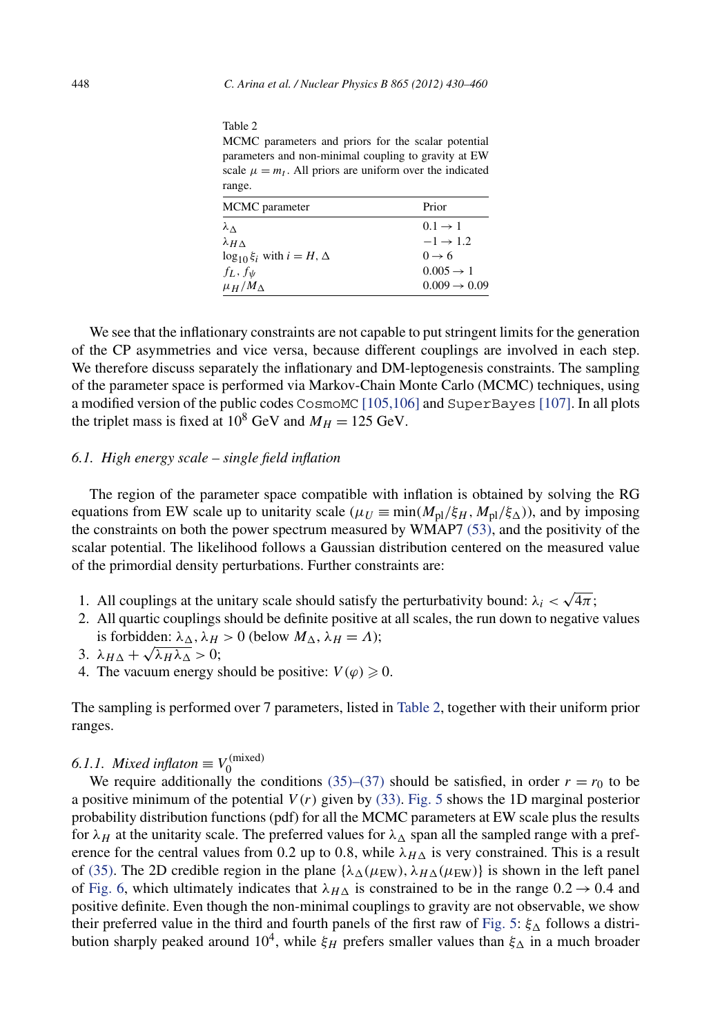Table 2 MCMC parameters and priors for the scalar potential parameters and non-minimal coupling to gravity at EW scale  $\mu = m_t$ . All priors are uniform over the indicated range.

| MCMC parameter                         | Prior                    |  |
|----------------------------------------|--------------------------|--|
| $\lambda_{\Lambda}$                    | $0.1 \rightarrow 1$      |  |
| $\lambda$ H $\Lambda$                  | $-1 \rightarrow 1.2$     |  |
| $\log_{10} \xi_i$ with $i = H, \Delta$ | $0 \rightarrow 6$        |  |
| $f_L, f_{\psi}$                        | $0.005 \rightarrow 1$    |  |
| $\mu_H/M_\Lambda$                      | $0.009 \rightarrow 0.09$ |  |

We see that the inflationary constraints are not capable to put stringent limits for the generation of the CP asymmetries and vice versa, because different couplings are involved in each step. We therefore discuss separately the inflationary and DM-leptogenesis constraints. The sampling of the parameter space is performed via Markov-Chain Monte Carlo (MCMC) techniques, using a modified version of the public codes CosmoMC [\[105,106\]](#page-30-0) and SuperBayes [\[107\].](#page-30-0) In all plots the triplet mass is fixed at  $10^8$  GeV and  $M_H = 125$  GeV.

## *6.1. High energy scale – single field inflation*

The region of the parameter space compatible with inflation is obtained by solving the RG equations from EW scale up to unitarity scale ( $\mu_U \equiv \min(M_{\rm pl}/\xi_H, M_{\rm pl}/\xi_\Delta)$ ), and by imposing the constraints on both the power spectrum measured by WMAP7 [\(53\),](#page-11-0) and the positivity of the scalar potential. The likelihood follows a Gaussian distribution centered on the measured value of the primordial density perturbations. Further constraints are:

- 1. All couplings at the unitary scale should satisfy the perturbativity bound:  $\lambda_i < \sqrt{4\pi}$ ;
- 2. All quartic couplings should be definite positive at all scales, the run down to negative values is forbidden:  $\lambda_{\Delta}$ ,  $\lambda_H > 0$  (below  $M_{\Delta}$ ,  $\lambda_H = \Lambda$ );
- 3.  $\lambda_{H\Lambda} + \sqrt{\lambda_{H}\lambda_{\Lambda}} > 0$ ;
- 4. The vacuum energy should be positive:  $V(\varphi) \geq 0$ .

The sampling is performed over 7 parameters, listed in Table 2, together with their uniform prior ranges.

# *6.1.1. Mixed inflaton*  $\equiv V_0^{(\text{mixed})}$

We require additionally the conditions [\(35\)–\(37\)](#page-8-0) should be satisfied, in order  $r = r_0$  to be a positive minimum of the potential *V (r)* given by [\(33\).](#page-8-0) [Fig. 5](#page-19-0) shows the 1D marginal posterior probability distribution functions (pdf) for all the MCMC parameters at EW scale plus the results for  $\lambda_H$  at the unitarity scale. The preferred values for  $\lambda_\Delta$  span all the sampled range with a preference for the central values from 0.2 up to 0.8, while  $\lambda_{H\Delta}$  is very constrained. This is a result of [\(35\).](#page-8-0) The 2D credible region in the plane  $\{\lambda_{\Delta}(\mu_{EW}), \lambda_{H\Delta}(\mu_{EW})\}$  is shown in the left panel of [Fig. 6,](#page-19-0) which ultimately indicates that  $\lambda_{H\Delta}$  is constrained to be in the range  $0.2 \rightarrow 0.4$  and positive definite. Even though the non-minimal couplings to gravity are not observable, we show their preferred value in the third and fourth panels of the first raw of [Fig. 5:](#page-19-0)  $\xi_{\Delta}$  follows a distribution sharply peaked around 10<sup>4</sup>, while  $\xi_H$  prefers smaller values than  $\xi_{\Delta}$  in a much broader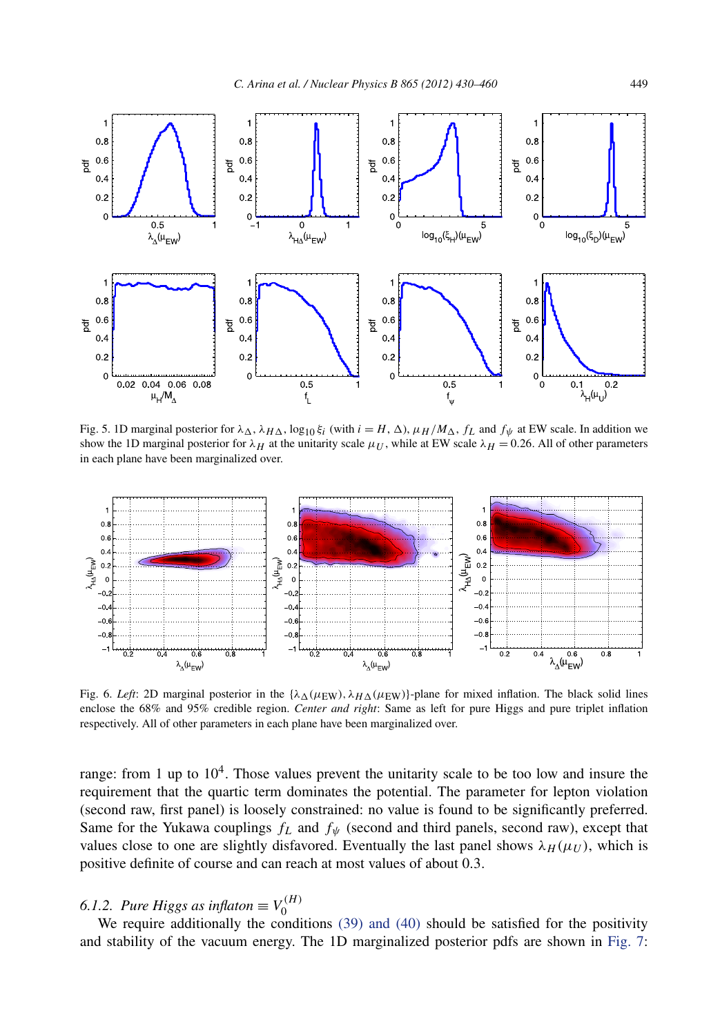<span id="page-19-0"></span>

Fig. 5. 1D marginal posterior for  $\lambda_{\Delta}$ ,  $\lambda_{H\Delta}$ , log<sub>10</sub>  $\xi_i$  (with  $i = H$ , Δ),  $\mu_H/M_\Delta$ ,  $f_L$  and  $f_\psi$  at EW scale. In addition we show the 1D marginal posterior for  $\lambda_H$  at the unitarity scale  $\mu_U$ , while at EW scale  $\lambda_H = 0.26$ . All of other parameters in each plane have been marginalized over.



Fig. 6. *Left*: 2D marginal posterior in the  $\{\lambda \Lambda(\mu_{EW}), \lambda \mu \Lambda(\mu_{EW})\}$ -plane for mixed inflation. The black solid lines enclose the 68% and 95% credible region. *Center and right*: Same as left for pure Higgs and pure triplet inflation respectively. All of other parameters in each plane have been marginalized over.

range: from 1 up to  $10<sup>4</sup>$ . Those values prevent the unitarity scale to be too low and insure the requirement that the quartic term dominates the potential. The parameter for lepton violation (second raw, first panel) is loosely constrained: no value is found to be significantly preferred. Same for the Yukawa couplings  $f_L$  and  $f_{\psi}$  (second and third panels, second raw), except that values close to one are slightly disfavored. Eventually the last panel shows  $\lambda_H(\mu_U)$ , which is positive definite of course and can reach at most values of about 0*.*3.

# *6.1.2. Pure Higgs as inflaton*  $\equiv V_0^{(H)}$

We require additionally the conditions [\(39\) and \(40\)](#page-8-0) should be satisfied for the positivity and stability of the vacuum energy. The 1D marginalized posterior pdfs are shown in [Fig. 7:](#page-20-0)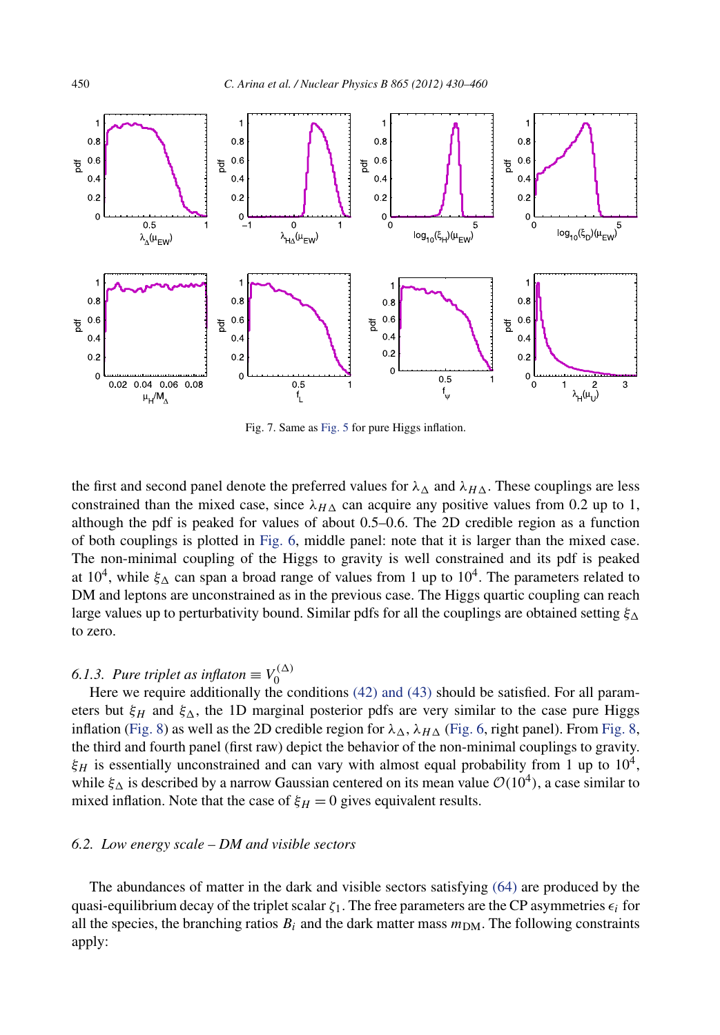<span id="page-20-0"></span>

Fig. 7. Same as [Fig. 5](#page-19-0) for pure Higgs inflation.

the first and second panel denote the preferred values for  $\lambda_{\Lambda}$  and  $\lambda_{H\Lambda}$ . These couplings are less constrained than the mixed case, since  $\lambda_{H\Delta}$  can acquire any positive values from 0.2 up to 1, although the pdf is peaked for values of about 0.5–0.6. The 2D credible region as a function of both couplings is plotted in [Fig. 6,](#page-19-0) middle panel: note that it is larger than the mixed case. The non-minimal coupling of the Higgs to gravity is well constrained and its pdf is peaked at  $10^4$ , while  $\xi_{\Delta}$  can span a broad range of values from 1 up to  $10^4$ . The parameters related to DM and leptons are unconstrained as in the previous case. The Higgs quartic coupling can reach large values up to perturbativity bound. Similar pdfs for all the couplings are obtained setting *ξ* to zero.

# *6.1.3. Pure triplet as inflaton*  $\equiv V_0^{(\Delta)}$

Here we require additionally the conditions [\(42\) and \(43\)](#page-9-0) should be satisfied. For all parameters but  $\xi_H$  and  $\xi_{\Delta}$ , the 1D marginal posterior pdfs are very similar to the case pure Higgs inflation [\(Fig. 8\)](#page-21-0) as well as the 2D credible region for  $\lambda_A$ ,  $\lambda_{H\Lambda}$  [\(Fig. 6,](#page-19-0) right panel). From [Fig. 8,](#page-21-0) the third and fourth panel (first raw) depict the behavior of the non-minimal couplings to gravity.  $\xi_H$  is essentially unconstrained and can vary with almost equal probability from 1 up to 10<sup>4</sup>, while  $\xi_{\Delta}$  is described by a narrow Gaussian centered on its mean value  $\mathcal{O}(10^4)$ , a case similar to mixed inflation. Note that the case of  $\xi_H = 0$  gives equivalent results.

#### *6.2. Low energy scale – DM and visible sectors*

The abundances of matter in the dark and visible sectors satisfying [\(64\)](#page-12-0) are produced by the quasi-equilibrium decay of the triplet scalar  $\zeta_1$ . The free parameters are the CP asymmetries  $\epsilon_i$  for all the species, the branching ratios  $B_i$  and the dark matter mass  $m_{DM}$ . The following constraints apply: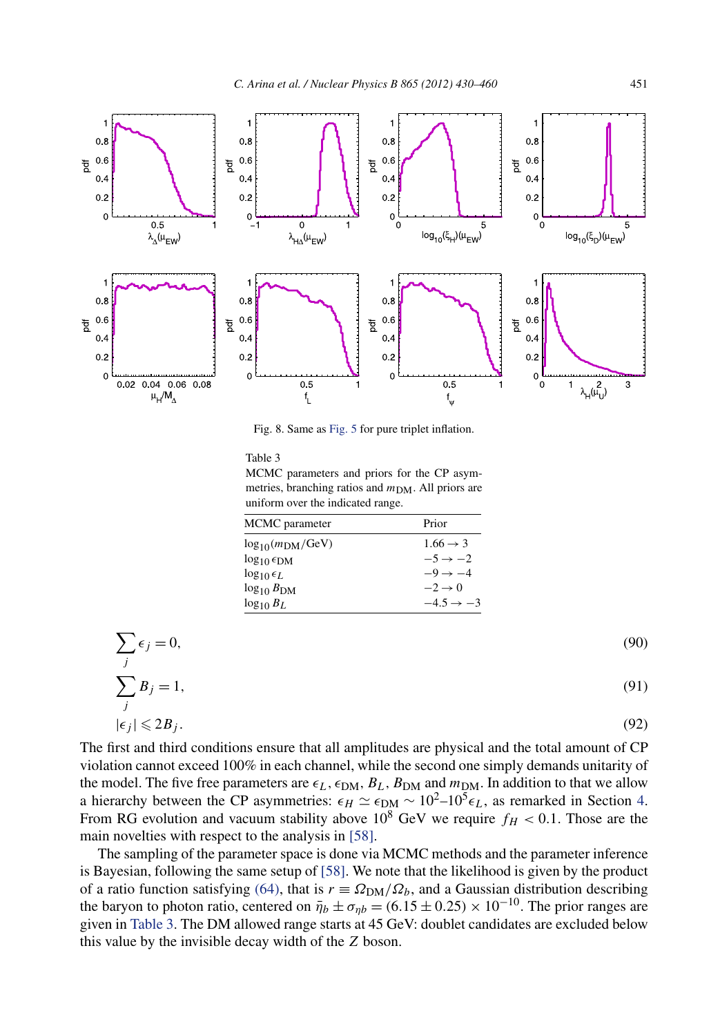<span id="page-21-0"></span>

Fig. 8. Same as [Fig. 5](#page-19-0) for pure triplet inflation.

Table 3

MCMC parameters and priors for the CP asymmetries, branching ratios and  $m_{\text{DM}}$ . All priors are uniform over the indicated range.

| MCMC parameter                      | Prior                 |  |
|-------------------------------------|-----------------------|--|
| $log_{10}(m_{DM}/GeV)$              | $1.66 \rightarrow 3$  |  |
| $log_{10}$ $\epsilon$ <sub>DM</sub> | $-5 \rightarrow -2$   |  |
| $log_{10} \epsilon_L$               | $-9 \rightarrow -4$   |  |
| $log_{10} B_{DM}$                   | $-2 \rightarrow 0$    |  |
| $\log_{10} B_L$                     | $-4.5 \rightarrow -3$ |  |

$$
\sum_{j} \epsilon_{j} = 0,
$$
\n
$$
\sum_{j} B_{j} = 1,
$$
\n
$$
|\epsilon_{j}| \leq 2B_{j}.
$$
\n(90)\n(91)

The first and third conditions ensure that all amplitudes are physical and the total amount of CP violation cannot exceed 100% in each channel, while the second one simply demands unitarity of the model. The five free parameters are  $\epsilon_L$ ,  $\epsilon_{DM}$ ,  $B_L$ ,  $B_{DM}$  and  $m_{DM}$ . In addition to that we allow a hierarchy between the CP asymmetries:  $\epsilon_H \simeq \epsilon_{DM} \sim 10^2 - 10^5 \epsilon_L$ , as remarked in Section [4.](#page-11-0) From RG evolution and vacuum stability above  $10^8$  GeV we require  $f_H < 0.1$ . Those are the main novelties with respect to the analysis in [\[58\].](#page-29-0)

The sampling of the parameter space is done via MCMC methods and the parameter inference is Bayesian, following the same setup of [\[58\].](#page-29-0) We note that the likelihood is given by the product of a ratio function satisfying [\(64\),](#page-12-0) that is  $r = \Omega_{DM}/\Omega_b$ , and a Gaussian distribution describing the baryon to photon ratio, centered on  $\bar{\eta}_b \pm \sigma_{nb} = (6.15 \pm 0.25) \times 10^{-10}$ . The prior ranges are given in Table 3. The DM allowed range starts at 45 GeV: doublet candidates are excluded below this value by the invisible decay width of the *Z* boson.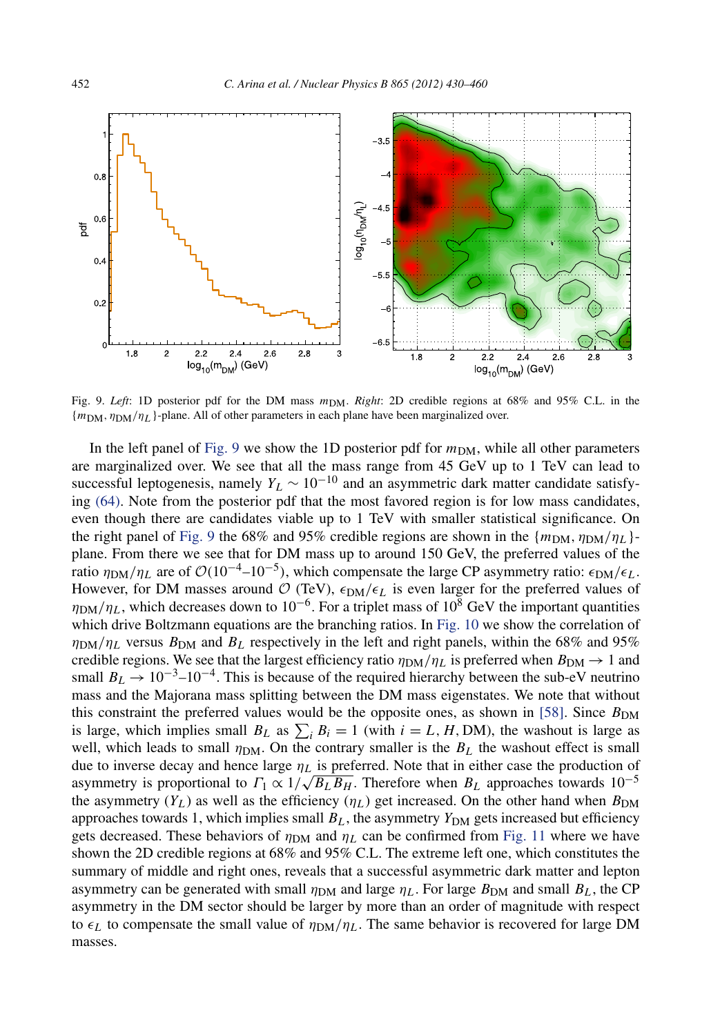

Fig. 9. *Left*: 1D posterior pdf for the DM mass  $m_{DM}$ . *Right*: 2D credible regions at 68% and 95% C.L. in the {*m*DM*,η*DM*/ηL*}-plane. All of other parameters in each plane have been marginalized over.

In the left panel of Fig. 9 we show the 1D posterior pdf for  $m_{DM}$ , while all other parameters are marginalized over. We see that all the mass range from 45 GeV up to 1 TeV can lead to successful leptogenesis, namely  $Y_L \sim 10^{-10}$  and an asymmetric dark matter candidate satisfying [\(64\).](#page-12-0) Note from the posterior pdf that the most favored region is for low mass candidates, even though there are candidates viable up to 1 TeV with smaller statistical significance. On the right panel of Fig. 9 the 68% and 95% credible regions are shown in the  $\{m_{DM}, \eta_{DM}/\eta_L\}$ plane. From there we see that for DM mass up to around 150 GeV, the preferred values of the ratio  $\eta_{DM}/\eta_L$  are of  $O(10^{-4}-10^{-5})$ , which compensate the large CP asymmetry ratio:  $\epsilon_{DM}/\epsilon_L$ . However, for DM masses around  $\mathcal{O}$  (TeV),  $\epsilon_{DM}/\epsilon_L$  is even larger for the preferred values of  $\eta_{DM}/\eta_L$ , which decreases down to 10<sup>-6</sup>. For a triplet mass of 10<sup>8</sup> GeV the important quantities which drive Boltzmann equations are the branching ratios. In [Fig. 10](#page-23-0) we show the correlation of  $\eta_{\text{DM}}/\eta_L$  versus  $B_{\text{DM}}$  and  $B_L$  respectively in the left and right panels, within the 68% and 95% credible regions. We see that the largest efficiency ratio  $\eta_{DM}/\eta_L$  is preferred when  $B_{DM} \rightarrow 1$  and small  $B_L \rightarrow 10^{-3}$ –10<sup>-4</sup>. This is because of the required hierarchy between the sub-eV neutrino mass and the Majorana mass splitting between the DM mass eigenstates. We note that without this constraint the preferred values would be the opposite ones, as shown in [\[58\].](#page-29-0) Since  $B_{\text{DM}}$ is large, which implies small  $B_L$  as  $\sum_i B_i = 1$  (with  $i = L, H, DM$ ), the washout is large as well, which leads to small  $\eta_{DM}$ . On the contrary smaller is the  $B_L$  the washout effect is small due to inverse decay and hence large *ηL* is preferred. Note that in either case the production of and to inverse decay and nence large  $\eta_L$  is preferred. Note that in either case the production of asymmetry is proportional to  $\Gamma_1 \propto 1/\sqrt{B_L B_H}$ . Therefore when  $B_L$  approaches towards 10<sup>-5</sup> the asymmetry  $(Y_L)$  as well as the efficiency  $(\eta_L)$  get increased. On the other hand when  $B_{DM}$ approaches towards 1, which implies small  $B_L$ , the asymmetry  $Y_{DM}$  gets increased but efficiency gets decreased. These behaviors of  $\eta_{DM}$  and  $\eta_L$  can be confirmed from [Fig. 11](#page-23-0) where we have shown the 2D credible regions at 68% and 95% C.L. The extreme left one, which constitutes the summary of middle and right ones, reveals that a successful asymmetric dark matter and lepton asymmetry can be generated with small  $\eta_{DM}$  and large  $\eta_L$ . For large  $B_{DM}$  and small  $B_L$ , the CP asymmetry in the DM sector should be larger by more than an order of magnitude with respect to  $\epsilon_L$  to compensate the small value of  $\eta_{DM}/\eta_L$ . The same behavior is recovered for large DM masses.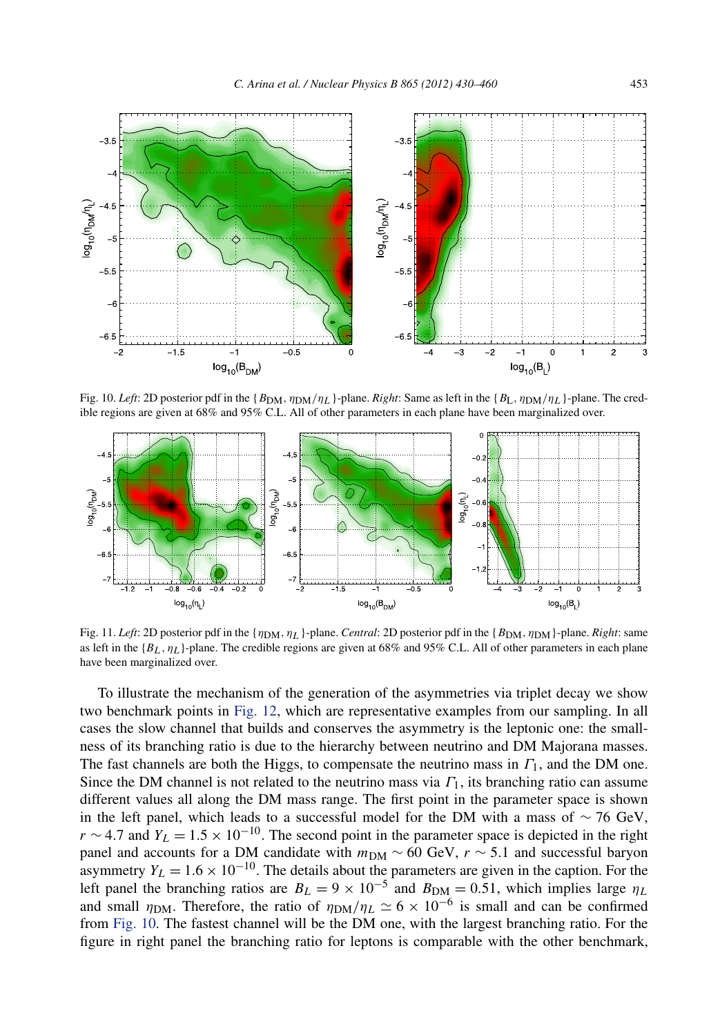<span id="page-23-0"></span>

Fig. 10. *Left*: 2D posterior pdf in the {*B*DM*,η*DM*/ηL*}-plane. *Right*: Same as left in the {*B*L*,η*DM*/ηL*}-plane. The credible regions are given at 68% and 95% C.L. All of other parameters in each plane have been marginalized over.



Fig. 11. *Left*: 2D posterior pdf in the { $η<sub>DM</sub>, η<sub>L</sub>$ }-plane. *Central*: 2D posterior pdf in the { $B<sub>DM</sub>, η<sub>DM</sub>$ }-plane. *Right*: same as left in the  ${B_L, \eta_L}$ -plane. The credible regions are given at 68% and 95% C.L. All of other parameters in each plane have been marginalized over.

To illustrate the mechanism of the generation of the asymmetries via triplet decay we show two benchmark points in [Fig. 12,](#page-24-0) which are representative examples from our sampling. In all cases the slow channel that builds and conserves the asymmetry is the leptonic one: the smallness of its branching ratio is due to the hierarchy between neutrino and DM Majorana masses. The fast channels are both the Higgs, to compensate the neutrino mass in *Γ*1, and the DM one. Since the DM channel is not related to the neutrino mass via  $\Gamma_1$ , its branching ratio can assume different values all along the DM mass range. The first point in the parameter space is shown in the left panel, which leads to a successful model for the DM with a mass of  $\sim$  76 GeV,  $r \sim 4.7$  and  $Y_L = 1.5 \times 10^{-10}$ . The second point in the parameter space is depicted in the right panel and accounts for a DM candidate with  $m_{DM} \sim 60$  GeV,  $r \sim 5.1$  and successful baryon asymmetry  $Y_L = 1.6 \times 10^{-10}$ . The details about the parameters are given in the caption. For the left panel the branching ratios are  $B_L = 9 \times 10^{-5}$  and  $B_{DM} = 0.51$ , which implies large  $\eta_L$ and small  $\eta_{DM}$ . Therefore, the ratio of  $\eta_{DM}/\eta_L \simeq 6 \times 10^{-6}$  is small and can be confirmed from Fig. 10. The fastest channel will be the DM one, with the largest branching ratio. For the figure in right panel the branching ratio for leptons is comparable with the other benchmark,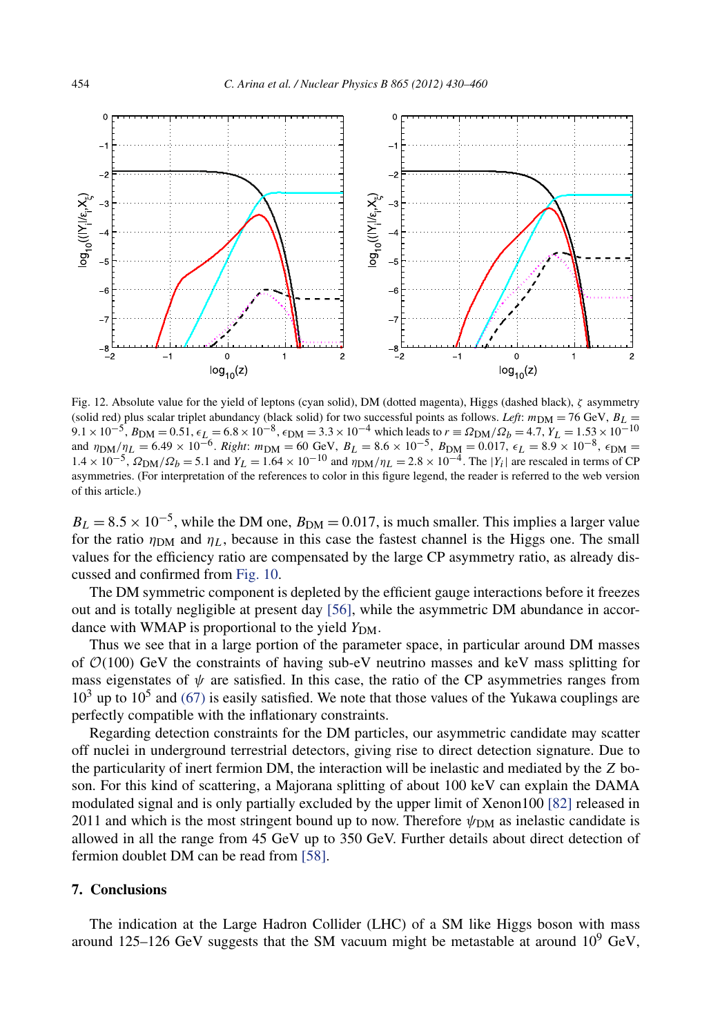<span id="page-24-0"></span>

Fig. 12. Absolute value for the yield of leptons (cyan solid), DM (dotted magenta), Higgs (dashed black), *ζ* asymmetry (solid red) plus scalar triplet abundancy (black solid) for two successful points as follows. *Left*:  $m_{DM} = 76$  GeV,  $B_L$  $9.1 \times 10^{-5}$ ,  $B_{\text{DM}} = 0.51$ ,  $\epsilon_L = 6.8 \times 10^{-8}$ ,  $\epsilon_{\text{DM}} = 3.3 \times 10^{-4}$  which leads to  $r = \Omega_{\text{DM}}/\Omega_b = 4.7$ ,  $Y_L = 1.53 \times 10^{-10}$ and  $\eta_{DM}/\eta_L = 6.49 \times 10^{-6}$ . *Right*:  $m_{DM} = 60$  GeV,  $B_L = 8.6 \times 10^{-5}$ ,  $B_{DM} = 0.017$ ,  $\epsilon_L = 8.9 \times 10^{-8}$ ,  $\epsilon_{DM} = 0.017$  $1.4 \times 10^{-5}$ ,  $\Omega_{DM}/\Omega_b = 5.1$  and  $Y_L = 1.64 \times 10^{-10}$  and  $\eta_{DM}/\eta_L = 2.8 \times 10^{-4}$ . The  $|Y_i|$  are rescaled in terms of CP asymmetries. (For interpretation of the references to color in this figure legend, the reader is referred to the web version of this article.)

 $B_L = 8.5 \times 10^{-5}$ , while the DM one,  $B_{DM} = 0.017$ , is much smaller. This implies a larger value for the ratio  $\eta_{DM}$  and  $\eta_L$ , because in this case the fastest channel is the Higgs one. The small values for the efficiency ratio are compensated by the large CP asymmetry ratio, as already discussed and confirmed from [Fig. 10.](#page-23-0)

The DM symmetric component is depleted by the efficient gauge interactions before it freezes out and is totally negligible at present day [\[56\],](#page-29-0) while the asymmetric DM abundance in accordance with WMAP is proportional to the yield  $Y_{DM}$ .

Thus we see that in a large portion of the parameter space, in particular around DM masses of  $\mathcal{O}(100)$  GeV the constraints of having sub-eV neutrino masses and keV mass splitting for mass eigenstates of  $\psi$  are satisfied. In this case, the ratio of the CP asymmetries ranges from  $10<sup>3</sup>$  up to  $10<sup>5</sup>$  and [\(67\)](#page-13-0) is easily satisfied. We note that those values of the Yukawa couplings are perfectly compatible with the inflationary constraints.

Regarding detection constraints for the DM particles, our asymmetric candidate may scatter off nuclei in underground terrestrial detectors, giving rise to direct detection signature. Due to the particularity of inert fermion DM, the interaction will be inelastic and mediated by the *Z* boson. For this kind of scattering, a Majorana splitting of about 100 keV can explain the DAMA modulated signal and is only partially excluded by the upper limit of Xenon100 [\[82\]](#page-29-0) released in 2011 and which is the most stringent bound up to now. Therefore  $\psi_{DM}$  as inelastic candidate is allowed in all the range from 45 GeV up to 350 GeV. Further details about direct detection of fermion doublet DM can be read from [\[58\].](#page-29-0)

# **7. Conclusions**

The indication at the Large Hadron Collider (LHC) of a SM like Higgs boson with mass around 125–126 GeV suggests that the SM vacuum might be metastable at around  $10^9$  GeV,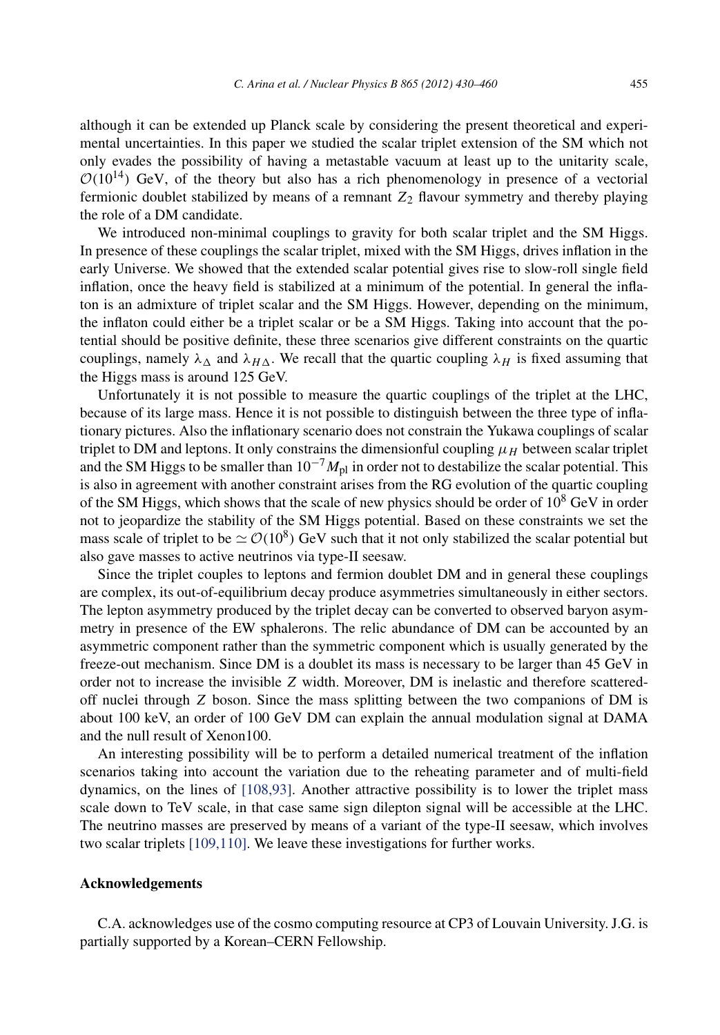although it can be extended up Planck scale by considering the present theoretical and experimental uncertainties. In this paper we studied the scalar triplet extension of the SM which not only evades the possibility of having a metastable vacuum at least up to the unitarity scale,  $O(10^{14})$  GeV, of the theory but also has a rich phenomenology in presence of a vectorial fermionic doublet stabilized by means of a remnant  $Z_2$  flavour symmetry and thereby playing the role of a DM candidate.

We introduced non-minimal couplings to gravity for both scalar triplet and the SM Higgs. In presence of these couplings the scalar triplet, mixed with the SM Higgs, drives inflation in the early Universe. We showed that the extended scalar potential gives rise to slow-roll single field inflation, once the heavy field is stabilized at a minimum of the potential. In general the inflaton is an admixture of triplet scalar and the SM Higgs. However, depending on the minimum, the inflaton could either be a triplet scalar or be a SM Higgs. Taking into account that the potential should be positive definite, these three scenarios give different constraints on the quartic couplings, namely  $\lambda_{\Delta}$  and  $\lambda_{H\Delta}$ . We recall that the quartic coupling  $\lambda_H$  is fixed assuming that the Higgs mass is around 125 GeV.

Unfortunately it is not possible to measure the quartic couplings of the triplet at the LHC, because of its large mass. Hence it is not possible to distinguish between the three type of inflationary pictures. Also the inflationary scenario does not constrain the Yukawa couplings of scalar triplet to DM and leptons. It only constrains the dimensionful coupling  $\mu$ <sub>H</sub> between scalar triplet and the SM Higgs to be smaller than  $10^{-7} M_{pl}$  in order not to destabilize the scalar potential. This is also in agreement with another constraint arises from the RG evolution of the quartic coupling of the SM Higgs, which shows that the scale of new physics should be order of  $10<sup>8</sup>$  GeV in order not to jeopardize the stability of the SM Higgs potential. Based on these constraints we set the mass scale of triplet to be  $\simeq \mathcal{O}(10^8)$  GeV such that it not only stabilized the scalar potential but also gave masses to active neutrinos via type-II seesaw.

Since the triplet couples to leptons and fermion doublet DM and in general these couplings are complex, its out-of-equilibrium decay produce asymmetries simultaneously in either sectors. The lepton asymmetry produced by the triplet decay can be converted to observed baryon asymmetry in presence of the EW sphalerons. The relic abundance of DM can be accounted by an asymmetric component rather than the symmetric component which is usually generated by the freeze-out mechanism. Since DM is a doublet its mass is necessary to be larger than 45 GeV in order not to increase the invisible *Z* width. Moreover, DM is inelastic and therefore scatteredoff nuclei through *Z* boson. Since the mass splitting between the two companions of DM is about 100 keV, an order of 100 GeV DM can explain the annual modulation signal at DAMA and the null result of Xenon100.

An interesting possibility will be to perform a detailed numerical treatment of the inflation scenarios taking into account the variation due to the reheating parameter and of multi-field dynamics, on the lines of [\[108,93\].](#page-30-0) Another attractive possibility is to lower the triplet mass scale down to TeV scale, in that case same sign dilepton signal will be accessible at the LHC. The neutrino masses are preserved by means of a variant of the type-II seesaw, which involves two scalar triplets [\[109,110\].](#page-30-0) We leave these investigations for further works.

### **Acknowledgements**

C.A. acknowledges use of the cosmo computing resource at CP3 of Louvain University. J.G. is partially supported by a Korean–CERN Fellowship.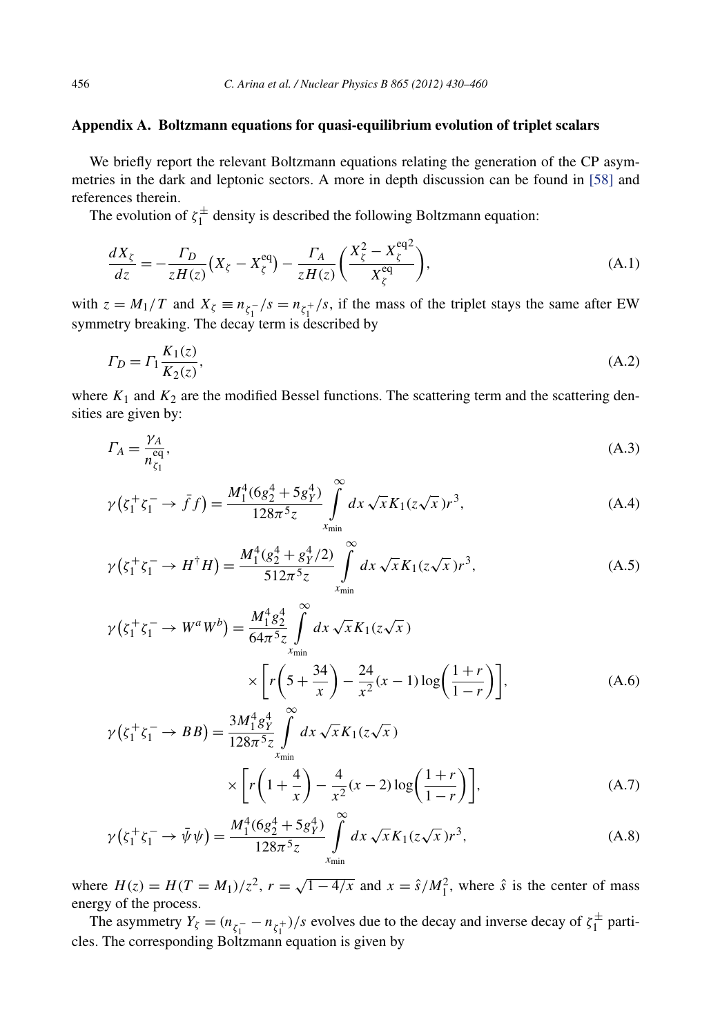## <span id="page-26-0"></span>**Appendix A. Boltzmann equations for quasi-equilibrium evolution of triplet scalars**

We briefly report the relevant Boltzmann equations relating the generation of the CP asymmetries in the dark and leptonic sectors. A more in depth discussion can be found in [\[58\]](#page-29-0) and references therein.

The evolution of  $\zeta_1^{\pm}$  density is described the following Boltzmann equation:

$$
\frac{dX_{\zeta}}{dz} = -\frac{\Gamma_D}{zH(z)}\left(X_{\zeta} - X_{\zeta}^{\text{eq}}\right) - \frac{\Gamma_A}{zH(z)}\left(\frac{X_{\zeta}^2 - X_{\zeta}^{\text{eq}2}}{X_{\zeta}^{\text{eq}}}\right),\tag{A.1}
$$

with  $z = M_1/T$  and  $X_\zeta = n_{\zeta_1^-}/s = n_{\zeta_1^+}/s$ , if the mass of the triplet stays the same after EW symmetry breaking. The decay term is described by

$$
\Gamma_D = \Gamma_1 \frac{K_1(z)}{K_2(z)},\tag{A.2}
$$

where  $K_1$  and  $K_2$  are the modified Bessel functions. The scattering term and the scattering densities are given by:

$$
\Gamma_A = \frac{\gamma_A}{n_{\zeta_1}^{\text{eq}}},\tag{A.3}
$$

$$
\gamma(\zeta_1^+ \zeta_1^- \to \bar{f}f) = \frac{M_1^4 (6g_2^4 + 5g_Y^4)}{128\pi^5 z} \int_{x_{\text{min}}}^{\infty} dx \sqrt{x} K_1(z\sqrt{x}) r^3,
$$
\n(A.4)

$$
\gamma(\zeta_1^+ \zeta_1^- \to H^\dagger H) = \frac{M_1^4 (g_2^4 + g_Y^4 / 2)}{512\pi^5 z} \int_{x_{\text{min}}}^{\infty} dx \sqrt{x} K_1(z\sqrt{x}) r^3,
$$
\n(A.5)

$$
\gamma(\zeta_1^+ \zeta_1^- \to W^a W^b) = \frac{M_1^4 g_2^4}{64\pi^5 z} \int_{x_{\text{min}}}^{\infty} dx \sqrt{x} K_1(z\sqrt{x})
$$
  
 
$$
\times \left[ r\left(5 + \frac{34}{x}\right) - \frac{24}{x^2} (x - 1) \log\left(\frac{1+r}{1-r}\right) \right],
$$
 (A.6)

$$
\gamma(\zeta_1^+ \zeta_1^- \to BB) = \frac{3M_1^4 g_Y^4}{128\pi^5 z} \int_{x_{\text{min}}}^{\infty} dx \sqrt{x} K_1(z\sqrt{x})
$$
  
 
$$
\times \left[ r \left( 1 + \frac{4}{x} \right) - \frac{4}{x^2} (x - 2) \log \left( \frac{1+r}{1-r} \right) \right],
$$
 (A.7)

$$
\gamma(\zeta_1^+ \zeta_1^- \to \bar{\psi}\psi) = \frac{M_1^4 (6g_2^4 + 5g_Y^4)}{128\pi^5 z} \int_{x_{\text{min}}}^{\infty} dx \sqrt{x} K_1(z\sqrt{x}) r^3,
$$
\n(A.8)

where  $H(z) = H(T = M_1)/z^2$ ,  $r = \sqrt{1 - 4/x}$  and  $x = \hat{s}/M_1^2$ , where  $\hat{s}$  is the center of mass energy of the process.

The asymmetry  $Y_{\zeta} = (n_{\zeta_1^-} - n_{\zeta_1^+})/s$  evolves due to the decay and inverse decay of  $\zeta_1^{\pm}$  particles. The corresponding Boltzmann equation is given by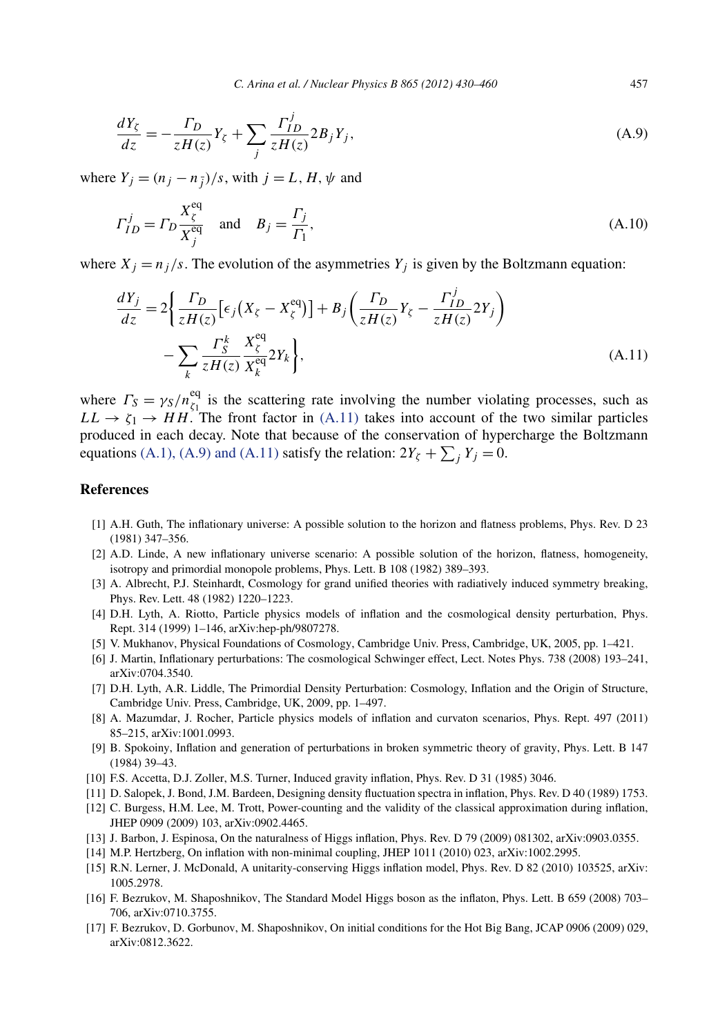<span id="page-27-0"></span>
$$
\frac{dY_{\zeta}}{dz} = -\frac{\Gamma_D}{zH(z)}Y_{\zeta} + \sum_{j} \frac{\Gamma_{ID}^{j}}{zH(z)} 2B_j Y_j, \tag{A.9}
$$

where  $Y_j = (n_j - n_{\overline{j}})/s$ , with  $j = L, H, \psi$  and

$$
\Gamma_{ID}^j = \Gamma_D \frac{X_{\zeta}^{\text{eq}}}{X_j^{\text{eq}}} \quad \text{and} \quad B_j = \frac{\Gamma_j}{\Gamma_1},\tag{A.10}
$$

where  $X_i = n_i/s$ . The evolution of the asymmetries  $Y_i$  is given by the Boltzmann equation:

$$
\frac{dY_j}{dz} = 2\left\{\frac{\Gamma_D}{zH(z)}\left[\epsilon_j\left(X_\zeta - X_\zeta^{eq}\right)\right] + B_j\left(\frac{\Gamma_D}{zH(z)}Y_\zeta - \frac{\Gamma_{ID}^j}{zH(z)}2Y_j\right) - \sum_k \frac{\Gamma_S^k}{zH(z)}\frac{X_\zeta^{eq}}{X_k^{eq}}2Y_k\right\},\tag{A.11}
$$

where  $\Gamma_S = \gamma_S / n_{\zeta_1}^{\text{eq}}$  is the scattering rate involving the number violating processes, such as  $LL \rightarrow \zeta_1 \rightarrow HH$ . The front factor in (A.11) takes into account of the two similar particles produced in each decay. Note that because of the conservation of hypercharge the Boltzmann equations [\(A.1\), \(A.9\) and \(A.11\)](#page-26-0) satisfy the relation:  $2Y_\zeta + \sum_j Y_j = 0$ .

#### **References**

- [1] A.H. Guth, The inflationary universe: A possible solution to the horizon and flatness problems, Phys. Rev. D 23 (1981) 347–356.
- [2] A.D. Linde, A new inflationary universe scenario: A possible solution of the horizon, flatness, homogeneity, isotropy and primordial monopole problems, Phys. Lett. B 108 (1982) 389–393.
- [3] A. Albrecht, P.J. Steinhardt, Cosmology for grand unified theories with radiatively induced symmetry breaking, Phys. Rev. Lett. 48 (1982) 1220–1223.
- [4] D.H. Lyth, A. Riotto, Particle physics models of inflation and the cosmological density perturbation, Phys. Rept. 314 (1999) 1–146, arXiv:hep-ph/9807278.
- [5] V. Mukhanov, Physical Foundations of Cosmology, Cambridge Univ. Press, Cambridge, UK, 2005, pp. 1–421.
- [6] J. Martin, Inflationary perturbations: The cosmological Schwinger effect, Lect. Notes Phys. 738 (2008) 193–241, arXiv:0704.3540.
- [7] D.H. Lyth, A.R. Liddle, The Primordial Density Perturbation: Cosmology, Inflation and the Origin of Structure, Cambridge Univ. Press, Cambridge, UK, 2009, pp. 1–497.
- [8] A. Mazumdar, J. Rocher, Particle physics models of inflation and curvaton scenarios, Phys. Rept. 497 (2011) 85–215, arXiv:1001.0993.
- [9] B. Spokoiny, Inflation and generation of perturbations in broken symmetric theory of gravity, Phys. Lett. B 147 (1984) 39–43.
- [10] F.S. Accetta, D.J. Zoller, M.S. Turner, Induced gravity inflation, Phys. Rev. D 31 (1985) 3046.
- [11] D. Salopek, J. Bond, J.M. Bardeen, Designing density fluctuation spectra in inflation, Phys. Rev. D 40 (1989) 1753.
- [12] C. Burgess, H.M. Lee, M. Trott, Power-counting and the validity of the classical approximation during inflation, JHEP 0909 (2009) 103, arXiv:0902.4465.
- [13] J. Barbon, J. Espinosa, On the naturalness of Higgs inflation, Phys. Rev. D 79 (2009) 081302, arXiv:0903.0355.
- [14] M.P. Hertzberg, On inflation with non-minimal coupling, JHEP 1011 (2010) 023, arXiv:1002.2995.
- [15] R.N. Lerner, J. McDonald, A unitarity-conserving Higgs inflation model, Phys. Rev. D 82 (2010) 103525, arXiv: 1005.2978.
- [16] F. Bezrukov, M. Shaposhnikov, The Standard Model Higgs boson as the inflaton, Phys. Lett. B 659 (2008) 703– 706, arXiv:0710.3755.
- [17] F. Bezrukov, D. Gorbunov, M. Shaposhnikov, On initial conditions for the Hot Big Bang, JCAP 0906 (2009) 029, arXiv:0812.3622.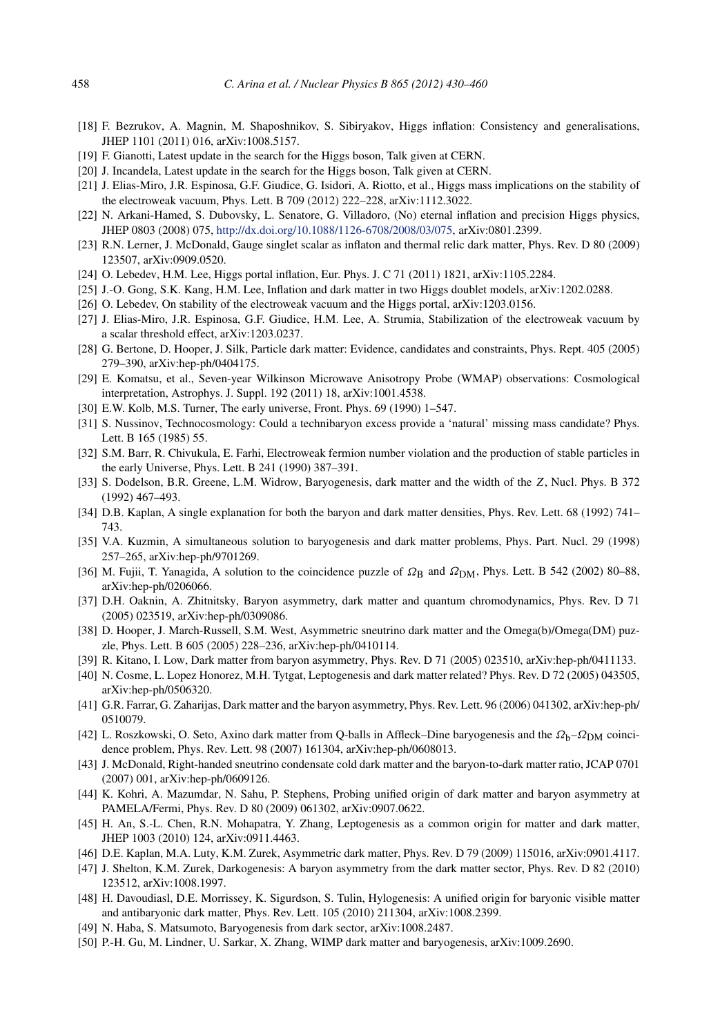- <span id="page-28-0"></span>[18] F. Bezrukov, A. Magnin, M. Shaposhnikov, S. Sibiryakov, Higgs inflation: Consistency and generalisations, JHEP 1101 (2011) 016, arXiv:1008.5157.
- [19] F. Gianotti, Latest update in the search for the Higgs boson, Talk given at CERN.
- [20] J. Incandela, Latest update in the search for the Higgs boson, Talk given at CERN.
- [21] J. Elias-Miro, J.R. Espinosa, G.F. Giudice, G. Isidori, A. Riotto, et al., Higgs mass implications on the stability of the electroweak vacuum, Phys. Lett. B 709 (2012) 222–228, arXiv:1112.3022.
- [22] N. Arkani-Hamed, S. Dubovsky, L. Senatore, G. Villadoro, (No) eternal inflation and precision Higgs physics, JHEP 0803 (2008) 075, <http://dx.doi.org/10.1088/1126-6708/2008/03/075>, arXiv:0801.2399.
- [23] R.N. Lerner, J. McDonald, Gauge singlet scalar as inflaton and thermal relic dark matter, Phys. Rev. D 80 (2009) 123507, arXiv:0909.0520.
- [24] O. Lebedev, H.M. Lee, Higgs portal inflation, Eur. Phys. J. C 71 (2011) 1821, arXiv:1105.2284.
- [25] J.-O. Gong, S.K. Kang, H.M. Lee, Inflation and dark matter in two Higgs doublet models, arXiv:1202.0288.
- [26] O. Lebedev, On stability of the electroweak vacuum and the Higgs portal, arXiv:1203.0156.
- [27] J. Elias-Miro, J.R. Espinosa, G.F. Giudice, H.M. Lee, A. Strumia, Stabilization of the electroweak vacuum by a scalar threshold effect, arXiv:1203.0237.
- [28] G. Bertone, D. Hooper, J. Silk, Particle dark matter: Evidence, candidates and constraints, Phys. Rept. 405 (2005) 279–390, arXiv:hep-ph/0404175.
- [29] E. Komatsu, et al., Seven-year Wilkinson Microwave Anisotropy Probe (WMAP) observations: Cosmological interpretation, Astrophys. J. Suppl. 192 (2011) 18, arXiv:1001.4538.
- [30] E.W. Kolb, M.S. Turner, The early universe, Front. Phys. 69 (1990) 1–547.
- [31] S. Nussinov, Technocosmology: Could a technibaryon excess provide a 'natural' missing mass candidate? Phys. Lett. B 165 (1985) 55.
- [32] S.M. Barr, R. Chivukula, E. Farhi, Electroweak fermion number violation and the production of stable particles in the early Universe, Phys. Lett. B 241 (1990) 387–391.
- [33] S. Dodelson, B.R. Greene, L.M. Widrow, Baryogenesis, dark matter and the width of the *Z*, Nucl. Phys. B 372 (1992) 467–493.
- [34] D.B. Kaplan, A single explanation for both the baryon and dark matter densities, Phys. Rev. Lett. 68 (1992) 741– 743.
- [35] V.A. Kuzmin, A simultaneous solution to baryogenesis and dark matter problems, Phys. Part. Nucl. 29 (1998) 257–265, arXiv:hep-ph/9701269.
- [36] M. Fujii, T. Yanagida, A solution to the coincidence puzzle of  $\Omega_B$  and  $\Omega_{DM}$ , Phys. Lett. B 542 (2002) 80–88, arXiv:hep-ph/0206066.
- [37] D.H. Oaknin, A. Zhitnitsky, Baryon asymmetry, dark matter and quantum chromodynamics, Phys. Rev. D 71 (2005) 023519, arXiv:hep-ph/0309086.
- [38] D. Hooper, J. March-Russell, S.M. West, Asymmetric sneutrino dark matter and the Omega(b)/Omega(DM) puzzle, Phys. Lett. B 605 (2005) 228–236, arXiv:hep-ph/0410114.
- [39] R. Kitano, I. Low, Dark matter from baryon asymmetry, Phys. Rev. D 71 (2005) 023510, arXiv:hep-ph/0411133.
- [40] N. Cosme, L. Lopez Honorez, M.H. Tytgat, Leptogenesis and dark matter related? Phys. Rev. D 72 (2005) 043505, arXiv:hep-ph/0506320.
- [41] G.R. Farrar, G. Zaharijas, Dark matter and the baryon asymmetry, Phys. Rev. Lett. 96 (2006) 041302, arXiv:hep-ph/ 0510079.
- [42] L. Roszkowski, O. Seto, Axino dark matter from Q-balls in Affleck–Dine baryogenesis and the *Ω*b–*Ω*DM coincidence problem, Phys. Rev. Lett. 98 (2007) 161304, arXiv:hep-ph/0608013.
- [43] J. McDonald, Right-handed sneutrino condensate cold dark matter and the baryon-to-dark matter ratio, JCAP 0701 (2007) 001, arXiv:hep-ph/0609126.
- [44] K. Kohri, A. Mazumdar, N. Sahu, P. Stephens, Probing unified origin of dark matter and baryon asymmetry at PAMELA/Fermi, Phys. Rev. D 80 (2009) 061302, arXiv:0907.0622.
- [45] H. An, S.-L. Chen, R.N. Mohapatra, Y. Zhang, Leptogenesis as a common origin for matter and dark matter, JHEP 1003 (2010) 124, arXiv:0911.4463.
- [46] D.E. Kaplan, M.A. Luty, K.M. Zurek, Asymmetric dark matter, Phys. Rev. D 79 (2009) 115016, arXiv:0901.4117.
- [47] J. Shelton, K.M. Zurek, Darkogenesis: A baryon asymmetry from the dark matter sector, Phys. Rev. D 82 (2010) 123512, arXiv:1008.1997.
- [48] H. Davoudiasl, D.E. Morrissey, K. Sigurdson, S. Tulin, Hylogenesis: A unified origin for baryonic visible matter and antibaryonic dark matter, Phys. Rev. Lett. 105 (2010) 211304, arXiv:1008.2399.
- [49] N. Haba, S. Matsumoto, Baryogenesis from dark sector, arXiv:1008.2487.
- [50] P.-H. Gu, M. Lindner, U. Sarkar, X. Zhang, WIMP dark matter and baryogenesis, arXiv:1009.2690.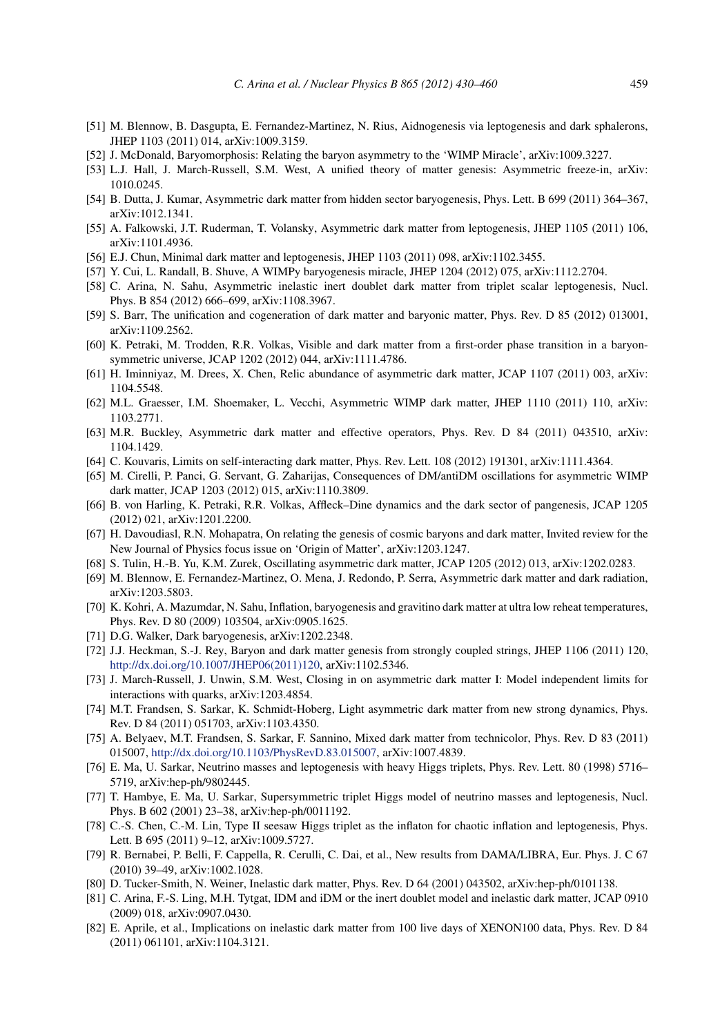- <span id="page-29-0"></span>[51] M. Blennow, B. Dasgupta, E. Fernandez-Martinez, N. Rius, Aidnogenesis via leptogenesis and dark sphalerons, JHEP 1103 (2011) 014, arXiv:1009.3159.
- [52] J. McDonald, Baryomorphosis: Relating the baryon asymmetry to the 'WIMP Miracle', arXiv:1009.3227.
- [53] L.J. Hall, J. March-Russell, S.M. West, A unified theory of matter genesis: Asymmetric freeze-in, arXiv: 1010.0245.
- [54] B. Dutta, J. Kumar, Asymmetric dark matter from hidden sector baryogenesis, Phys. Lett. B 699 (2011) 364–367, arXiv:1012.1341.
- [55] A. Falkowski, J.T. Ruderman, T. Volansky, Asymmetric dark matter from leptogenesis, JHEP 1105 (2011) 106, arXiv:1101.4936.
- [56] E.J. Chun, Minimal dark matter and leptogenesis, JHEP 1103 (2011) 098, arXiv:1102.3455.
- [57] Y. Cui, L. Randall, B. Shuve, A WIMPy baryogenesis miracle, JHEP 1204 (2012) 075, arXiv:1112.2704.
- [58] C. Arina, N. Sahu, Asymmetric inelastic inert doublet dark matter from triplet scalar leptogenesis, Nucl. Phys. B 854 (2012) 666–699, arXiv:1108.3967.
- [59] S. Barr, The unification and cogeneration of dark matter and baryonic matter, Phys. Rev. D 85 (2012) 013001, arXiv:1109.2562.
- [60] K. Petraki, M. Trodden, R.R. Volkas, Visible and dark matter from a first-order phase transition in a baryonsymmetric universe, JCAP 1202 (2012) 044, arXiv:1111.4786.
- [61] H. Iminniyaz, M. Drees, X. Chen, Relic abundance of asymmetric dark matter, JCAP 1107 (2011) 003, arXiv: 1104.5548.
- [62] M.L. Graesser, I.M. Shoemaker, L. Vecchi, Asymmetric WIMP dark matter, JHEP 1110 (2011) 110, arXiv: 1103.2771.
- [63] M.R. Buckley, Asymmetric dark matter and effective operators, Phys. Rev. D 84 (2011) 043510, arXiv: 1104.1429.
- [64] C. Kouvaris, Limits on self-interacting dark matter, Phys. Rev. Lett. 108 (2012) 191301, arXiv:1111.4364.
- [65] M. Cirelli, P. Panci, G. Servant, G. Zaharijas, Consequences of DM/antiDM oscillations for asymmetric WIMP dark matter, JCAP 1203 (2012) 015, arXiv:1110.3809.
- [66] B. von Harling, K. Petraki, R.R. Volkas, Affleck–Dine dynamics and the dark sector of pangenesis, JCAP 1205 (2012) 021, arXiv:1201.2200.
- [67] H. Davoudiasl, R.N. Mohapatra, On relating the genesis of cosmic baryons and dark matter, Invited review for the New Journal of Physics focus issue on 'Origin of Matter', arXiv:1203.1247.
- [68] S. Tulin, H.-B. Yu, K.M. Zurek, Oscillating asymmetric dark matter, JCAP 1205 (2012) 013, arXiv:1202.0283.
- [69] M. Blennow, E. Fernandez-Martinez, O. Mena, J. Redondo, P. Serra, Asymmetric dark matter and dark radiation, arXiv:1203.5803.
- [70] K. Kohri, A. Mazumdar, N. Sahu, Inflation, baryogenesis and gravitino dark matter at ultra low reheat temperatures, Phys. Rev. D 80 (2009) 103504, arXiv:0905.1625.
- [71] D.G. Walker, Dark baryogenesis, arXiv:1202.2348.
- [72] J.J. Heckman, S.-J. Rey, Baryon and dark matter genesis from strongly coupled strings, JHEP 1106 (2011) 120, [http://dx.doi.org/10.1007/JHEP06\(2011\)120,](http://dx.doi.org/10.1007/JHEP06(2011)120) arXiv:1102.5346.
- [73] J. March-Russell, J. Unwin, S.M. West, Closing in on asymmetric dark matter I: Model independent limits for interactions with quarks, arXiv:1203.4854.
- [74] M.T. Frandsen, S. Sarkar, K. Schmidt-Hoberg, Light asymmetric dark matter from new strong dynamics, Phys. Rev. D 84 (2011) 051703, arXiv:1103.4350.
- [75] A. Belyaev, M.T. Frandsen, S. Sarkar, F. Sannino, Mixed dark matter from technicolor, Phys. Rev. D 83 (2011) 015007, <http://dx.doi.org/10.1103/PhysRevD.83.015007>, arXiv:1007.4839.
- [76] E. Ma, U. Sarkar, Neutrino masses and leptogenesis with heavy Higgs triplets, Phys. Rev. Lett. 80 (1998) 5716– 5719, arXiv:hep-ph/9802445.
- [77] T. Hambye, E. Ma, U. Sarkar, Supersymmetric triplet Higgs model of neutrino masses and leptogenesis, Nucl. Phys. B 602 (2001) 23–38, arXiv:hep-ph/0011192.
- [78] C.-S. Chen, C.-M. Lin, Type II seesaw Higgs triplet as the inflaton for chaotic inflation and leptogenesis, Phys. Lett. B 695 (2011) 9–12, arXiv:1009.5727.
- [79] R. Bernabei, P. Belli, F. Cappella, R. Cerulli, C. Dai, et al., New results from DAMA/LIBRA, Eur. Phys. J. C 67 (2010) 39–49, arXiv:1002.1028.
- [80] D. Tucker-Smith, N. Weiner, Inelastic dark matter, Phys. Rev. D 64 (2001) 043502, arXiv:hep-ph/0101138.
- [81] C. Arina, F.-S. Ling, M.H. Tytgat, IDM and iDM or the inert doublet model and inelastic dark matter, JCAP 0910 (2009) 018, arXiv:0907.0430.
- [82] E. Aprile, et al., Implications on inelastic dark matter from 100 live days of XENON100 data, Phys. Rev. D 84 (2011) 061101, arXiv:1104.3121.